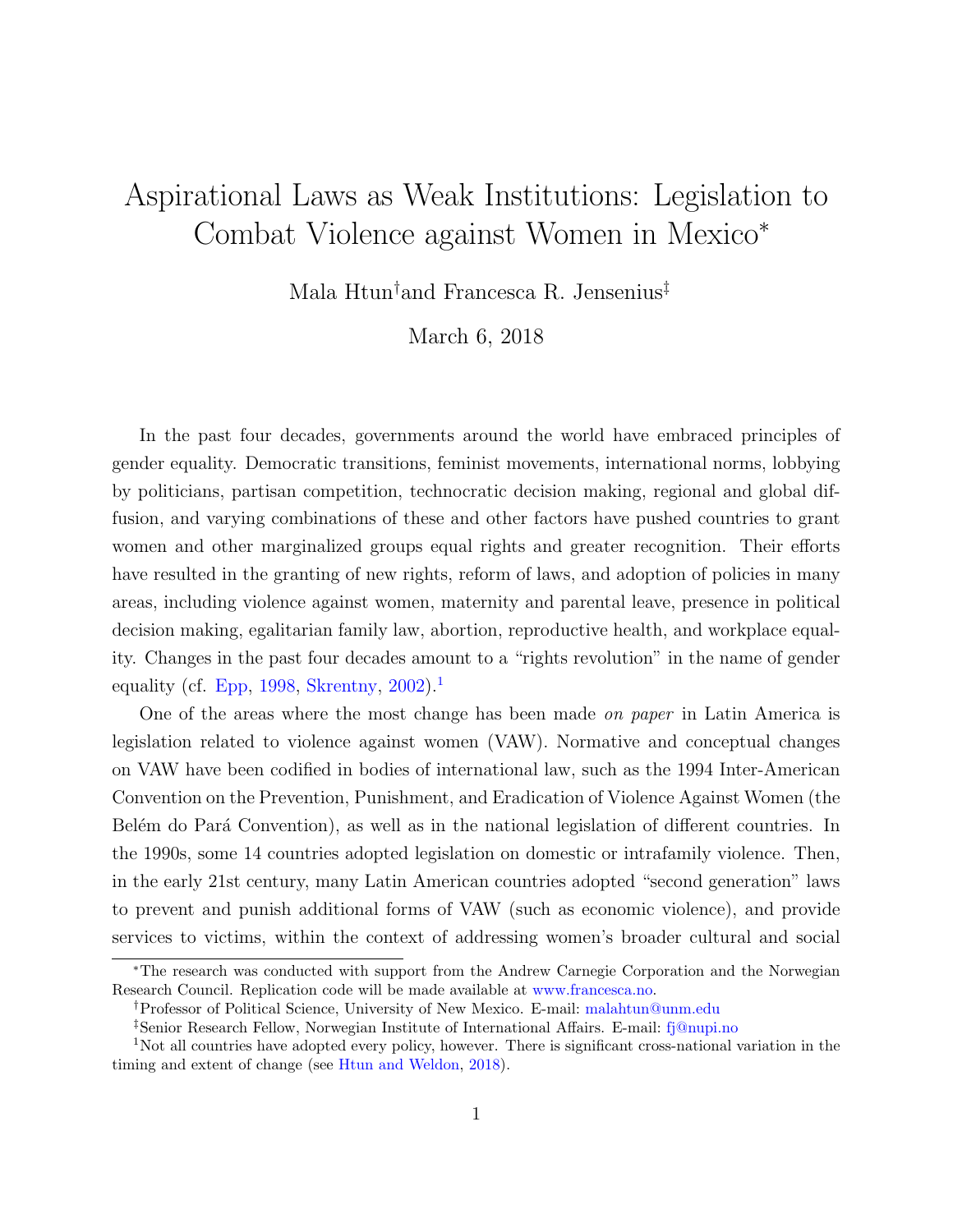# Aspirational Laws as Weak Institutions: Legislation to Combat Violence against Women in Mexico<sup>∗</sup>

Mala Htun†and Francesca R. Jensenius‡

March 6, 2018

In the past four decades, governments around the world have embraced principles of gender equality. Democratic transitions, feminist movements, international norms, lobbying by politicians, partisan competition, technocratic decision making, regional and global diffusion, and varying combinations of these and other factors have pushed countries to grant women and other marginalized groups equal rights and greater recognition. Their efforts have resulted in the granting of new rights, reform of laws, and adoption of policies in many areas, including violence against women, maternity and parental leave, presence in political decision making, egalitarian family law, abortion, reproductive health, and workplace equality. Changes in the past four decades amount to a "rights revolution" in the name of gender equality (cf. [Epp,](#page-22-0) [1998,](#page-22-0) [Skrentny,](#page-25-0) [2002\)](#page-25-0).<sup>[1](#page-0-0)</sup>

One of the areas where the most change has been made on paper in Latin America is legislation related to violence against women (VAW). Normative and conceptual changes on VAW have been codified in bodies of international law, such as the 1994 Inter-American Convention on the Prevention, Punishment, and Eradication of Violence Against Women (the Belém do Pará Convention), as well as in the national legislation of different countries. In the 1990s, some 14 countries adopted legislation on domestic or intrafamily violence. Then, in the early 21st century, many Latin American countries adopted "second generation" laws to prevent and punish additional forms of VAW (such as economic violence), and provide services to victims, within the context of addressing women's broader cultural and social

<sup>∗</sup>The research was conducted with support from the Andrew Carnegie Corporation and the Norwegian Research Council. Replication code will be made available at [www.francesca.no.](www.francesca.no)

<sup>†</sup>Professor of Political Science, University of New Mexico. E-mail: [malahtun@unm.edu](mailto:malahtun@unm.edu)

<span id="page-0-0"></span><sup>‡</sup>Senior Research Fellow, Norwegian Institute of International Affairs. E-mail: [fj@nupi.no](mailto:fj@nupi.no)

<sup>&</sup>lt;sup>1</sup>Not all countries have adopted every policy, however. There is significant cross-national variation in the timing and extent of change (see [Htun and Weldon,](#page-24-0) [2018\)](#page-24-0).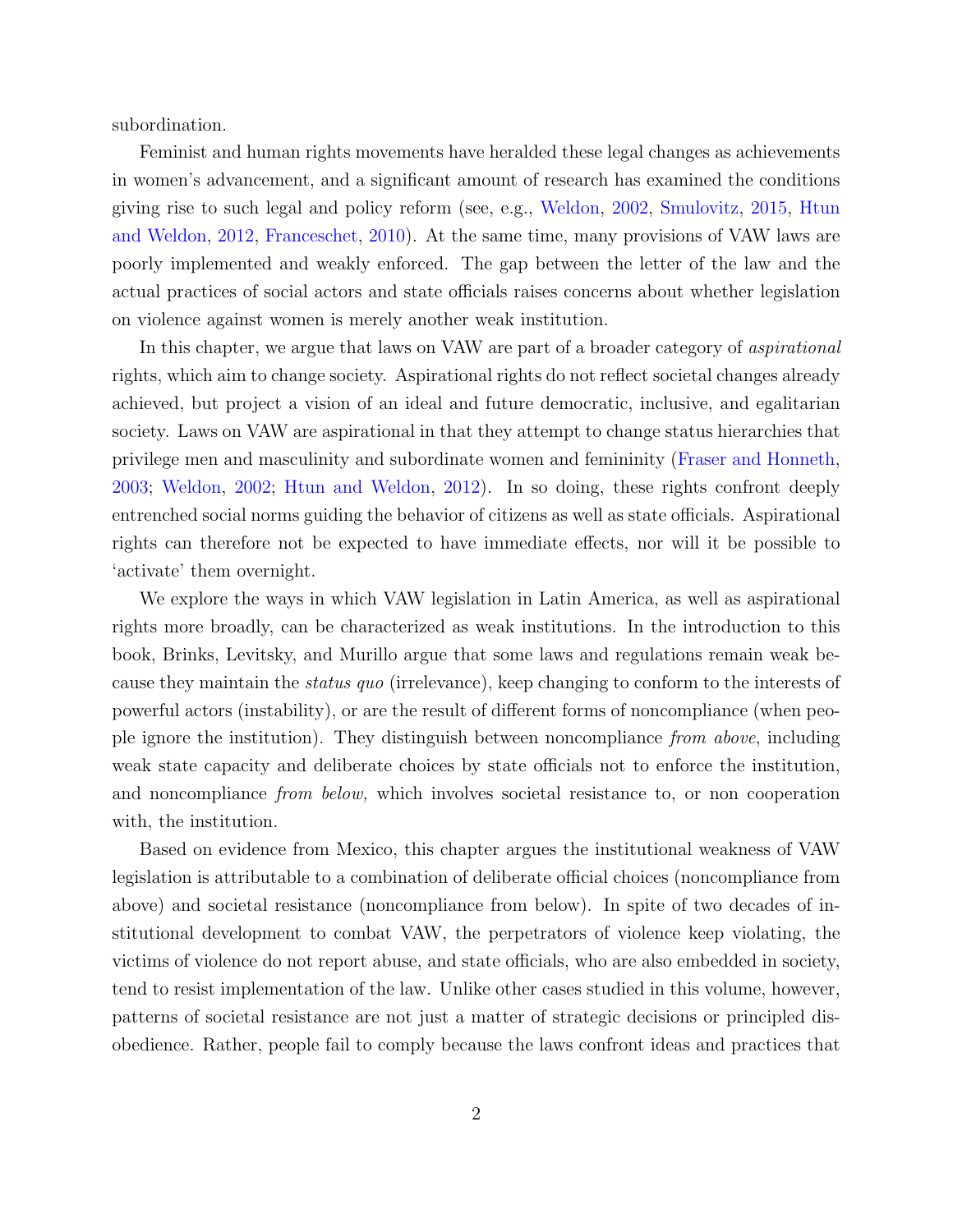subordination.

Feminist and human rights movements have heralded these legal changes as achievements in women's advancement, and a significant amount of research has examined the conditions giving rise to such legal and policy reform (see, e.g., [Weldon,](#page-25-1) [2002,](#page-25-1) [Smulovitz,](#page-25-2) [2015,](#page-25-2) [Htun](#page-23-0) [and Weldon,](#page-23-0) [2012,](#page-23-0) [Franceschet,](#page-22-1) [2010\)](#page-22-1). At the same time, many provisions of VAW laws are poorly implemented and weakly enforced. The gap between the letter of the law and the actual practices of social actors and state officials raises concerns about whether legislation on violence against women is merely another weak institution.

In this chapter, we argue that laws on VAW are part of a broader category of *aspirational* rights, which aim to change society. Aspirational rights do not reflect societal changes already achieved, but project a vision of an ideal and future democratic, inclusive, and egalitarian society. Laws on VAW are aspirational in that they attempt to change status hierarchies that privilege men and masculinity and subordinate women and femininity [\(Fraser and Honneth,](#page-23-1) [2003;](#page-23-1) [Weldon,](#page-25-1) [2002;](#page-25-1) [Htun and Weldon,](#page-23-0) [2012\)](#page-23-0). In so doing, these rights confront deeply entrenched social norms guiding the behavior of citizens as well as state officials. Aspirational rights can therefore not be expected to have immediate effects, nor will it be possible to 'activate' them overnight.

We explore the ways in which VAW legislation in Latin America, as well as aspirational rights more broadly, can be characterized as weak institutions. In the introduction to this book, Brinks, Levitsky, and Murillo argue that some laws and regulations remain weak because they maintain the status quo (irrelevance), keep changing to conform to the interests of powerful actors (instability), or are the result of different forms of noncompliance (when people ignore the institution). They distinguish between noncompliance from above, including weak state capacity and deliberate choices by state officials not to enforce the institution, and noncompliance *from below*, which involves societal resistance to, or non cooperation with, the institution.

Based on evidence from Mexico, this chapter argues the institutional weakness of VAW legislation is attributable to a combination of deliberate official choices (noncompliance from above) and societal resistance (noncompliance from below). In spite of two decades of institutional development to combat VAW, the perpetrators of violence keep violating, the victims of violence do not report abuse, and state officials, who are also embedded in society, tend to resist implementation of the law. Unlike other cases studied in this volume, however, patterns of societal resistance are not just a matter of strategic decisions or principled disobedience. Rather, people fail to comply because the laws confront ideas and practices that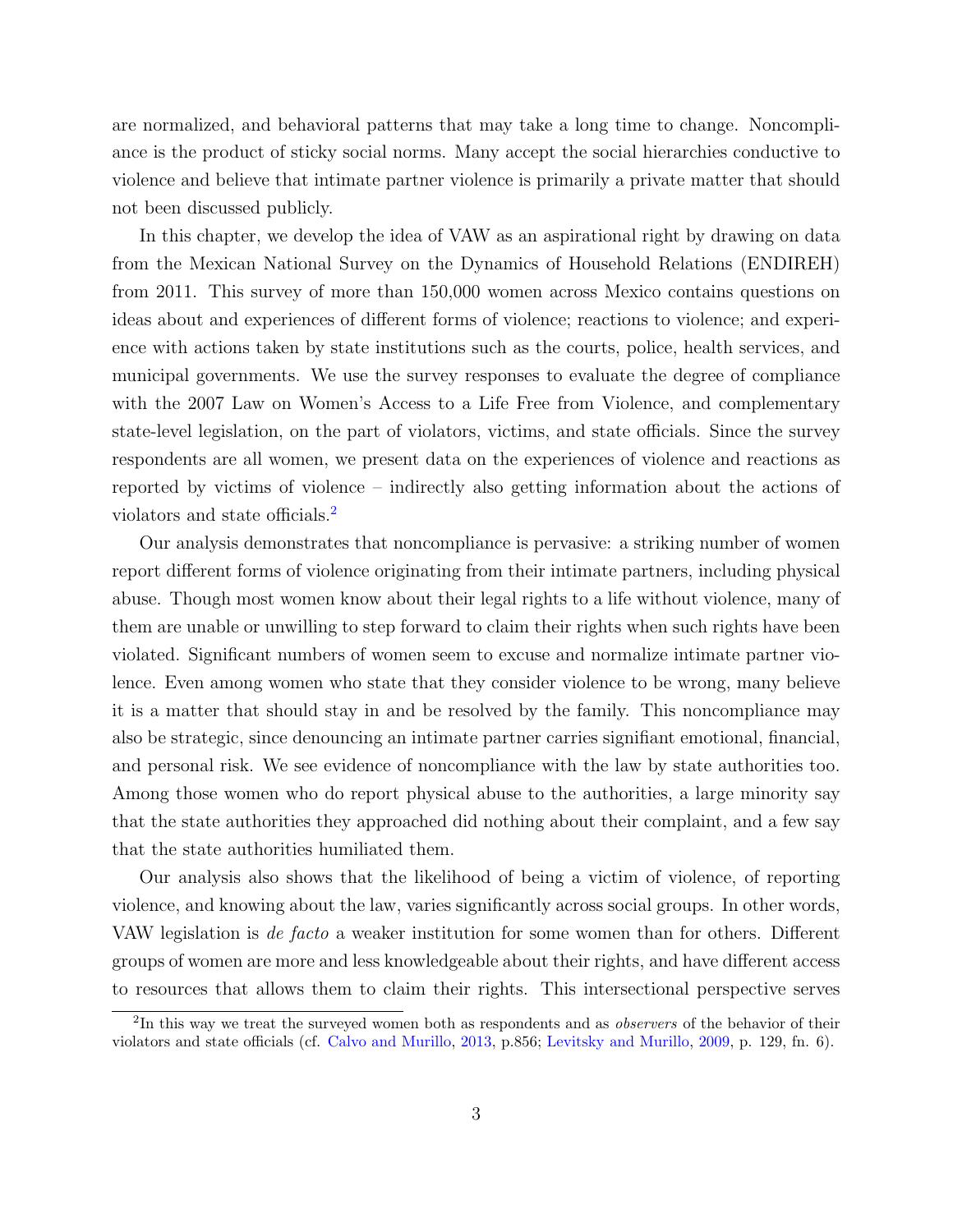are normalized, and behavioral patterns that may take a long time to change. Noncompliance is the product of sticky social norms. Many accept the social hierarchies conductive to violence and believe that intimate partner violence is primarily a private matter that should not been discussed publicly.

In this chapter, we develop the idea of VAW as an aspirational right by drawing on data from the Mexican National Survey on the Dynamics of Household Relations (ENDIREH) from 2011. This survey of more than 150,000 women across Mexico contains questions on ideas about and experiences of different forms of violence; reactions to violence; and experience with actions taken by state institutions such as the courts, police, health services, and municipal governments. We use the survey responses to evaluate the degree of compliance with the 2007 Law on Women's Access to a Life Free from Violence, and complementary state-level legislation, on the part of violators, victims, and state officials. Since the survey respondents are all women, we present data on the experiences of violence and reactions as reported by victims of violence – indirectly also getting information about the actions of violators and state officials.[2](#page-2-0)

Our analysis demonstrates that noncompliance is pervasive: a striking number of women report different forms of violence originating from their intimate partners, including physical abuse. Though most women know about their legal rights to a life without violence, many of them are unable or unwilling to step forward to claim their rights when such rights have been violated. Significant numbers of women seem to excuse and normalize intimate partner violence. Even among women who state that they consider violence to be wrong, many believe it is a matter that should stay in and be resolved by the family. This noncompliance may also be strategic, since denouncing an intimate partner carries signifiant emotional, financial, and personal risk. We see evidence of noncompliance with the law by state authorities too. Among those women who do report physical abuse to the authorities, a large minority say that the state authorities they approached did nothing about their complaint, and a few say that the state authorities humiliated them.

Our analysis also shows that the likelihood of being a victim of violence, of reporting violence, and knowing about the law, varies significantly across social groups. In other words, VAW legislation is de facto a weaker institution for some women than for others. Different groups of women are more and less knowledgeable about their rights, and have different access to resources that allows them to claim their rights. This intersectional perspective serves

<span id="page-2-0"></span><sup>&</sup>lt;sup>2</sup>In this way we treat the surveyed women both as respondents and as *observers* of the behavior of their violators and state officials (cf. [Calvo and Murillo,](#page-22-2) [2013,](#page-22-2) p.856; [Levitsky and Murillo,](#page-24-1) [2009,](#page-24-1) p. 129, fn. 6).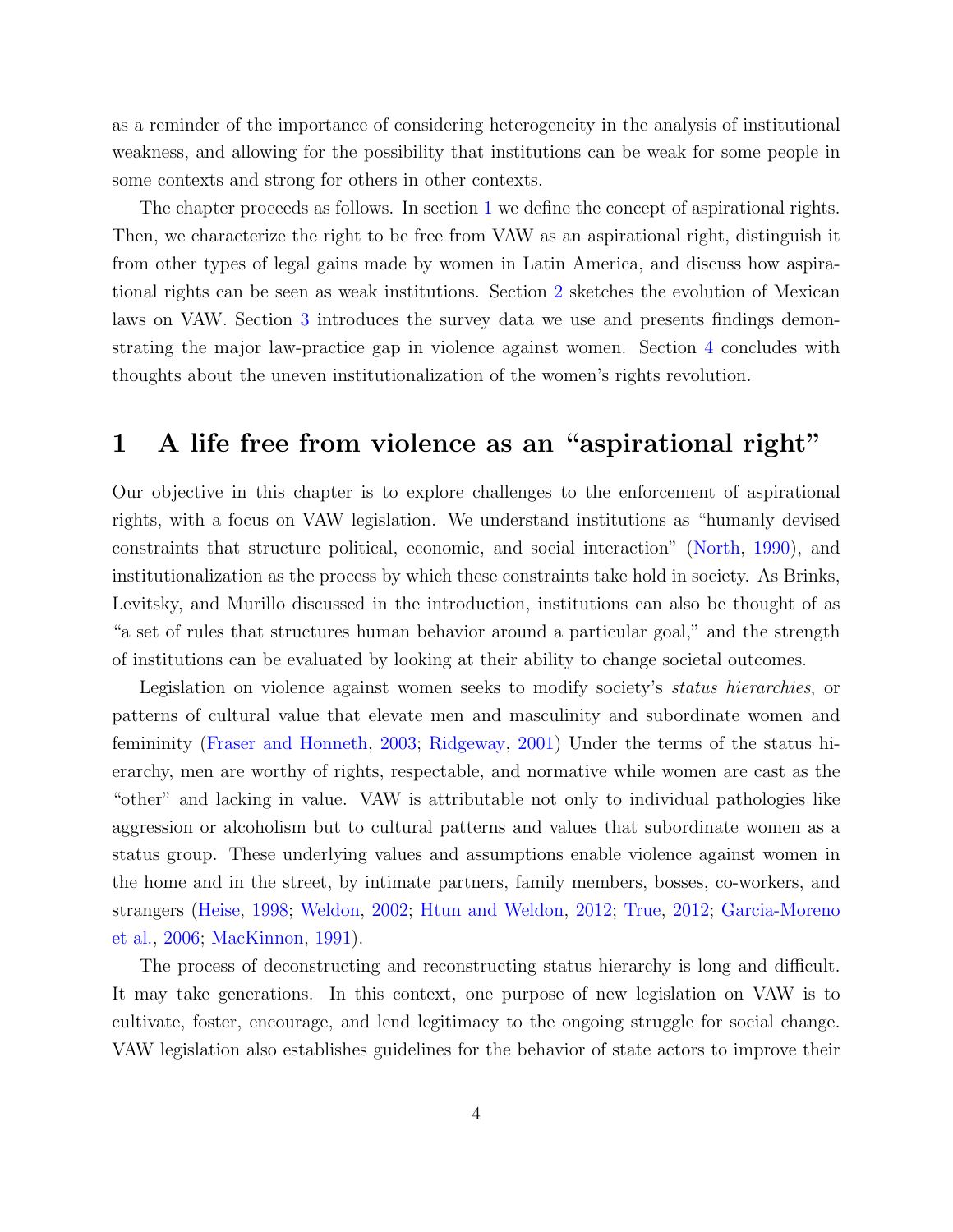as a reminder of the importance of considering heterogeneity in the analysis of institutional weakness, and allowing for the possibility that institutions can be weak for some people in some contexts and strong for others in other contexts.

The chapter proceeds as follows. In section [1](#page-3-0) we define the concept of aspirational rights. Then, we characterize the right to be free from VAW as an aspirational right, distinguish it from other types of legal gains made by women in Latin America, and discuss how aspirational rights can be seen as weak institutions. Section [2](#page-9-0) sketches the evolution of Mexican laws on VAW. Section [3](#page-12-0) introduces the survey data we use and presents findings demonstrating the major law-practice gap in violence against women. Section [4](#page-20-0) concludes with thoughts about the uneven institutionalization of the women's rights revolution.

## <span id="page-3-0"></span>1 A life free from violence as an "aspirational right"

Our objective in this chapter is to explore challenges to the enforcement of aspirational rights, with a focus on VAW legislation. We understand institutions as "humanly devised constraints that structure political, economic, and social interaction" [\(North,](#page-24-2) [1990\)](#page-24-2), and institutionalization as the process by which these constraints take hold in society. As Brinks, Levitsky, and Murillo discussed in the introduction, institutions can also be thought of as "a set of rules that structures human behavior around a particular goal," and the strength of institutions can be evaluated by looking at their ability to change societal outcomes.

Legislation on violence against women seeks to modify society's *status hierarchies*, or patterns of cultural value that elevate men and masculinity and subordinate women and femininity [\(Fraser and Honneth,](#page-23-1) [2003;](#page-23-1) [Ridgeway,](#page-25-3) [2001\)](#page-25-3) Under the terms of the status hierarchy, men are worthy of rights, respectable, and normative while women are cast as the "other" and lacking in value. VAW is attributable not only to individual pathologies like aggression or alcoholism but to cultural patterns and values that subordinate women as a status group. These underlying values and assumptions enable violence against women in the home and in the street, by intimate partners, family members, bosses, co-workers, and strangers [\(Heise,](#page-23-2) [1998;](#page-23-2) [Weldon,](#page-25-1) [2002;](#page-25-1) [Htun and Weldon,](#page-23-0) [2012;](#page-23-0) [True,](#page-25-4) [2012;](#page-25-4) [Garcia-Moreno](#page-23-3) [et al.,](#page-23-3) [2006;](#page-23-3) [MacKinnon,](#page-24-3) [1991\)](#page-24-3).

The process of deconstructing and reconstructing status hierarchy is long and difficult. It may take generations. In this context, one purpose of new legislation on VAW is to cultivate, foster, encourage, and lend legitimacy to the ongoing struggle for social change. VAW legislation also establishes guidelines for the behavior of state actors to improve their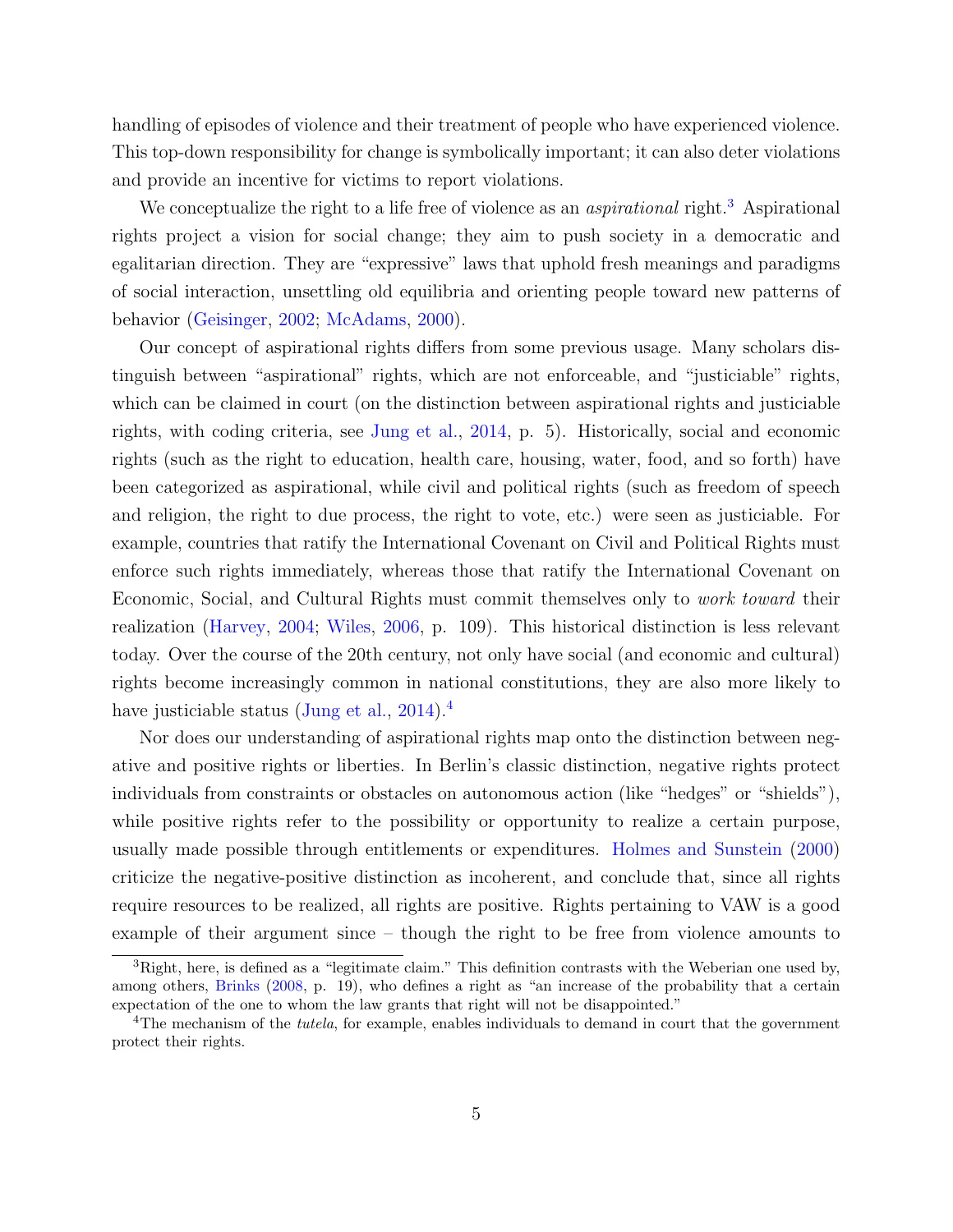handling of episodes of violence and their treatment of people who have experienced violence. This top-down responsibility for change is symbolically important; it can also deter violations and provide an incentive for victims to report violations.

We conceptualize the right to a life free of violence as an *aspirational* right.<sup>[3](#page-4-0)</sup> Aspirational rights project a vision for social change; they aim to push society in a democratic and egalitarian direction. They are "expressive" laws that uphold fresh meanings and paradigms of social interaction, unsettling old equilibria and orienting people toward new patterns of behavior [\(Geisinger,](#page-23-4) [2002;](#page-23-4) [McAdams,](#page-24-4) [2000\)](#page-24-4).

Our concept of aspirational rights differs from some previous usage. Many scholars distinguish between "aspirational" rights, which are not enforceable, and "justiciable" rights, which can be claimed in court (on the distinction between aspirational rights and justiciable rights, with coding criteria, see [Jung et al.,](#page-24-5) [2014,](#page-24-5) p. 5). Historically, social and economic rights (such as the right to education, health care, housing, water, food, and so forth) have been categorized as aspirational, while civil and political rights (such as freedom of speech and religion, the right to due process, the right to vote, etc.) were seen as justiciable. For example, countries that ratify the International Covenant on Civil and Political Rights must enforce such rights immediately, whereas those that ratify the International Covenant on Economic, Social, and Cultural Rights must commit themselves only to work toward their realization [\(Harvey,](#page-23-5) [2004;](#page-23-5) [Wiles,](#page-25-5) [2006,](#page-25-5) p. 109). This historical distinction is less relevant today. Over the course of the 20th century, not only have social (and economic and cultural) rights become increasingly common in national constitutions, they are also more likely to have justiciable status [\(Jung et al.,](#page-24-5) [2014\)](#page-24-5).<sup>[4](#page-4-1)</sup>

Nor does our understanding of aspirational rights map onto the distinction between negative and positive rights or liberties. In Berlin's classic distinction, negative rights protect individuals from constraints or obstacles on autonomous action (like "hedges" or "shields"), while positive rights refer to the possibility or opportunity to realize a certain purpose, usually made possible through entitlements or expenditures. [Holmes and Sunstein](#page-23-6) [\(2000\)](#page-23-6) criticize the negative-positive distinction as incoherent, and conclude that, since all rights require resources to be realized, all rights are positive. Rights pertaining to VAW is a good example of their argument since – though the right to be free from violence amounts to

<span id="page-4-0"></span><sup>&</sup>lt;sup>3</sup>Right, here, is defined as a "legitimate claim." This definition contrasts with the Weberian one used by, among others, [Brinks](#page-22-3) [\(2008,](#page-22-3) p. 19), who defines a right as "an increase of the probability that a certain expectation of the one to whom the law grants that right will not be disappointed."

<span id="page-4-1"></span><sup>&</sup>lt;sup>4</sup>The mechanism of the *tutela*, for example, enables individuals to demand in court that the government protect their rights.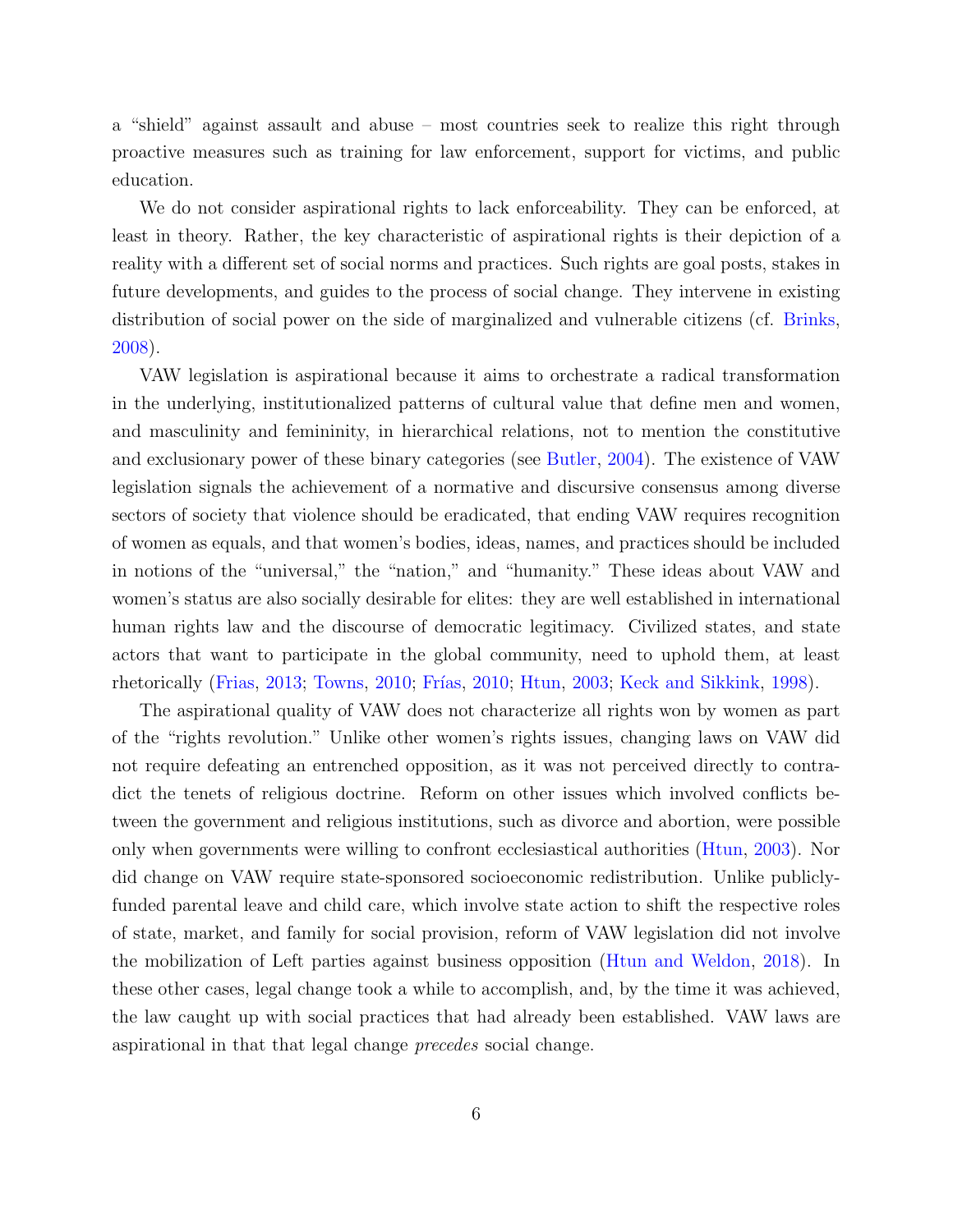a "shield" against assault and abuse – most countries seek to realize this right through proactive measures such as training for law enforcement, support for victims, and public education.

We do not consider aspirational rights to lack enforceability. They can be enforced, at least in theory. Rather, the key characteristic of aspirational rights is their depiction of a reality with a different set of social norms and practices. Such rights are goal posts, stakes in future developments, and guides to the process of social change. They intervene in existing distribution of social power on the side of marginalized and vulnerable citizens (cf. [Brinks,](#page-22-3) [2008\)](#page-22-3).

VAW legislation is aspirational because it aims to orchestrate a radical transformation in the underlying, institutionalized patterns of cultural value that define men and women, and masculinity and femininity, in hierarchical relations, not to mention the constitutive and exclusionary power of these binary categories (see [Butler,](#page-22-4) [2004\)](#page-22-4). The existence of VAW legislation signals the achievement of a normative and discursive consensus among diverse sectors of society that violence should be eradicated, that ending VAW requires recognition of women as equals, and that women's bodies, ideas, names, and practices should be included in notions of the "universal," the "nation," and "humanity." These ideas about VAW and women's status are also socially desirable for elites: they are well established in international human rights law and the discourse of democratic legitimacy. Civilized states, and state actors that want to participate in the global community, need to uphold them, at least rhetorically [\(Frias,](#page-23-7) [2013;](#page-23-7) [Towns,](#page-25-6) [2010;](#page-23-8) Frías, 2010; [Htun,](#page-23-9) [2003;](#page-23-9) [Keck and Sikkink,](#page-24-6) [1998\)](#page-24-6).

The aspirational quality of VAW does not characterize all rights won by women as part of the "rights revolution." Unlike other women's rights issues, changing laws on VAW did not require defeating an entrenched opposition, as it was not perceived directly to contradict the tenets of religious doctrine. Reform on other issues which involved conflicts between the government and religious institutions, such as divorce and abortion, were possible only when governments were willing to confront ecclesiastical authorities [\(Htun,](#page-23-9) [2003\)](#page-23-9). Nor did change on VAW require state-sponsored socioeconomic redistribution. Unlike publiclyfunded parental leave and child care, which involve state action to shift the respective roles of state, market, and family for social provision, reform of VAW legislation did not involve the mobilization of Left parties against business opposition [\(Htun and Weldon,](#page-24-0) [2018\)](#page-24-0). In these other cases, legal change took a while to accomplish, and, by the time it was achieved, the law caught up with social practices that had already been established. VAW laws are aspirational in that that legal change precedes social change.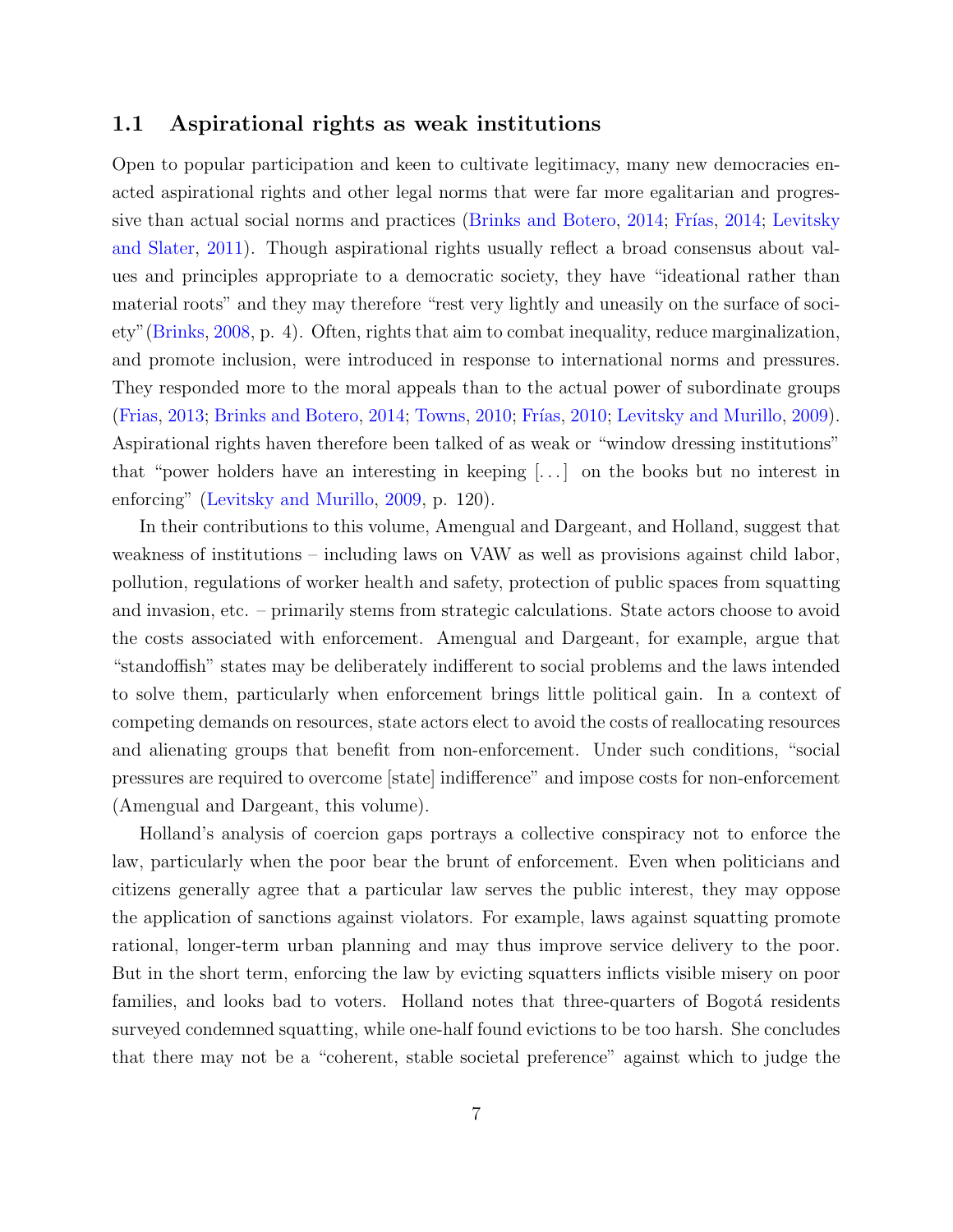#### 1.1 Aspirational rights as weak institutions

Open to popular participation and keen to cultivate legitimacy, many new democracies enacted aspirational rights and other legal norms that were far more egalitarian and progres-sive than actual social norms and practices [\(Brinks and Botero,](#page-22-5) [2014;](#page-23-10) Frías, 2014; [Levitsky](#page-24-7) [and Slater,](#page-24-7) [2011\)](#page-24-7). Though aspirational rights usually reflect a broad consensus about values and principles appropriate to a democratic society, they have "ideational rather than material roots" and they may therefore "rest very lightly and uneasily on the surface of society"[\(Brinks,](#page-22-3) [2008,](#page-22-3) p. 4). Often, rights that aim to combat inequality, reduce marginalization, and promote inclusion, were introduced in response to international norms and pressures. They responded more to the moral appeals than to the actual power of subordinate groups [\(Frias,](#page-23-7) [2013;](#page-23-7) [Brinks and Botero,](#page-22-5) [2014;](#page-22-5) [Towns,](#page-25-6) [2010;](#page-23-8) Frías, 2010; [Levitsky and Murillo,](#page-24-1) [2009\)](#page-24-1). Aspirational rights haven therefore been talked of as weak or "window dressing institutions" that "power holders have an interesting in keeping [. . . ] on the books but no interest in enforcing" [\(Levitsky and Murillo,](#page-24-1) [2009,](#page-24-1) p. 120).

In their contributions to this volume, Amengual and Dargeant, and Holland, suggest that weakness of institutions – including laws on VAW as well as provisions against child labor, pollution, regulations of worker health and safety, protection of public spaces from squatting and invasion, etc. – primarily stems from strategic calculations. State actors choose to avoid the costs associated with enforcement. Amengual and Dargeant, for example, argue that "standoffish" states may be deliberately indifferent to social problems and the laws intended to solve them, particularly when enforcement brings little political gain. In a context of competing demands on resources, state actors elect to avoid the costs of reallocating resources and alienating groups that benefit from non-enforcement. Under such conditions, "social pressures are required to overcome [state] indifference" and impose costs for non-enforcement (Amengual and Dargeant, this volume).

Holland's analysis of coercion gaps portrays a collective conspiracy not to enforce the law, particularly when the poor bear the brunt of enforcement. Even when politicians and citizens generally agree that a particular law serves the public interest, they may oppose the application of sanctions against violators. For example, laws against squatting promote rational, longer-term urban planning and may thus improve service delivery to the poor. But in the short term, enforcing the law by evicting squatters inflicts visible misery on poor families, and looks bad to voters. Holland notes that three-quarters of Bogota residents surveyed condemned squatting, while one-half found evictions to be too harsh. She concludes that there may not be a "coherent, stable societal preference" against which to judge the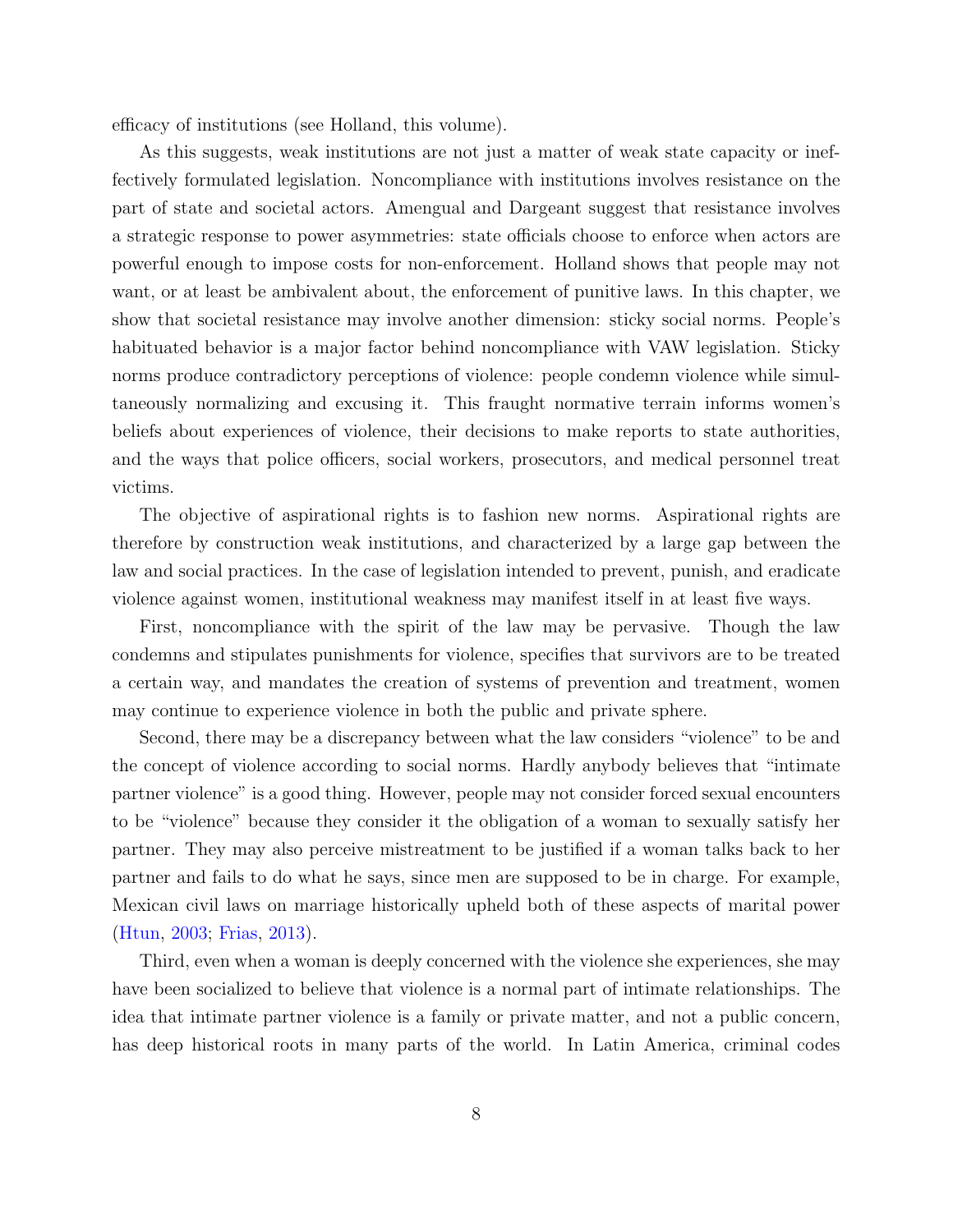efficacy of institutions (see Holland, this volume).

As this suggests, weak institutions are not just a matter of weak state capacity or ineffectively formulated legislation. Noncompliance with institutions involves resistance on the part of state and societal actors. Amengual and Dargeant suggest that resistance involves a strategic response to power asymmetries: state officials choose to enforce when actors are powerful enough to impose costs for non-enforcement. Holland shows that people may not want, or at least be ambivalent about, the enforcement of punitive laws. In this chapter, we show that societal resistance may involve another dimension: sticky social norms. People's habituated behavior is a major factor behind noncompliance with VAW legislation. Sticky norms produce contradictory perceptions of violence: people condemn violence while simultaneously normalizing and excusing it. This fraught normative terrain informs women's beliefs about experiences of violence, their decisions to make reports to state authorities, and the ways that police officers, social workers, prosecutors, and medical personnel treat victims.

The objective of aspirational rights is to fashion new norms. Aspirational rights are therefore by construction weak institutions, and characterized by a large gap between the law and social practices. In the case of legislation intended to prevent, punish, and eradicate violence against women, institutional weakness may manifest itself in at least five ways.

First, noncompliance with the spirit of the law may be pervasive. Though the law condemns and stipulates punishments for violence, specifies that survivors are to be treated a certain way, and mandates the creation of systems of prevention and treatment, women may continue to experience violence in both the public and private sphere.

Second, there may be a discrepancy between what the law considers "violence" to be and the concept of violence according to social norms. Hardly anybody believes that "intimate partner violence" is a good thing. However, people may not consider forced sexual encounters to be "violence" because they consider it the obligation of a woman to sexually satisfy her partner. They may also perceive mistreatment to be justified if a woman talks back to her partner and fails to do what he says, since men are supposed to be in charge. For example, Mexican civil laws on marriage historically upheld both of these aspects of marital power [\(Htun,](#page-23-9) [2003;](#page-23-9) [Frias,](#page-23-7) [2013\)](#page-23-7).

Third, even when a woman is deeply concerned with the violence she experiences, she may have been socialized to believe that violence is a normal part of intimate relationships. The idea that intimate partner violence is a family or private matter, and not a public concern, has deep historical roots in many parts of the world. In Latin America, criminal codes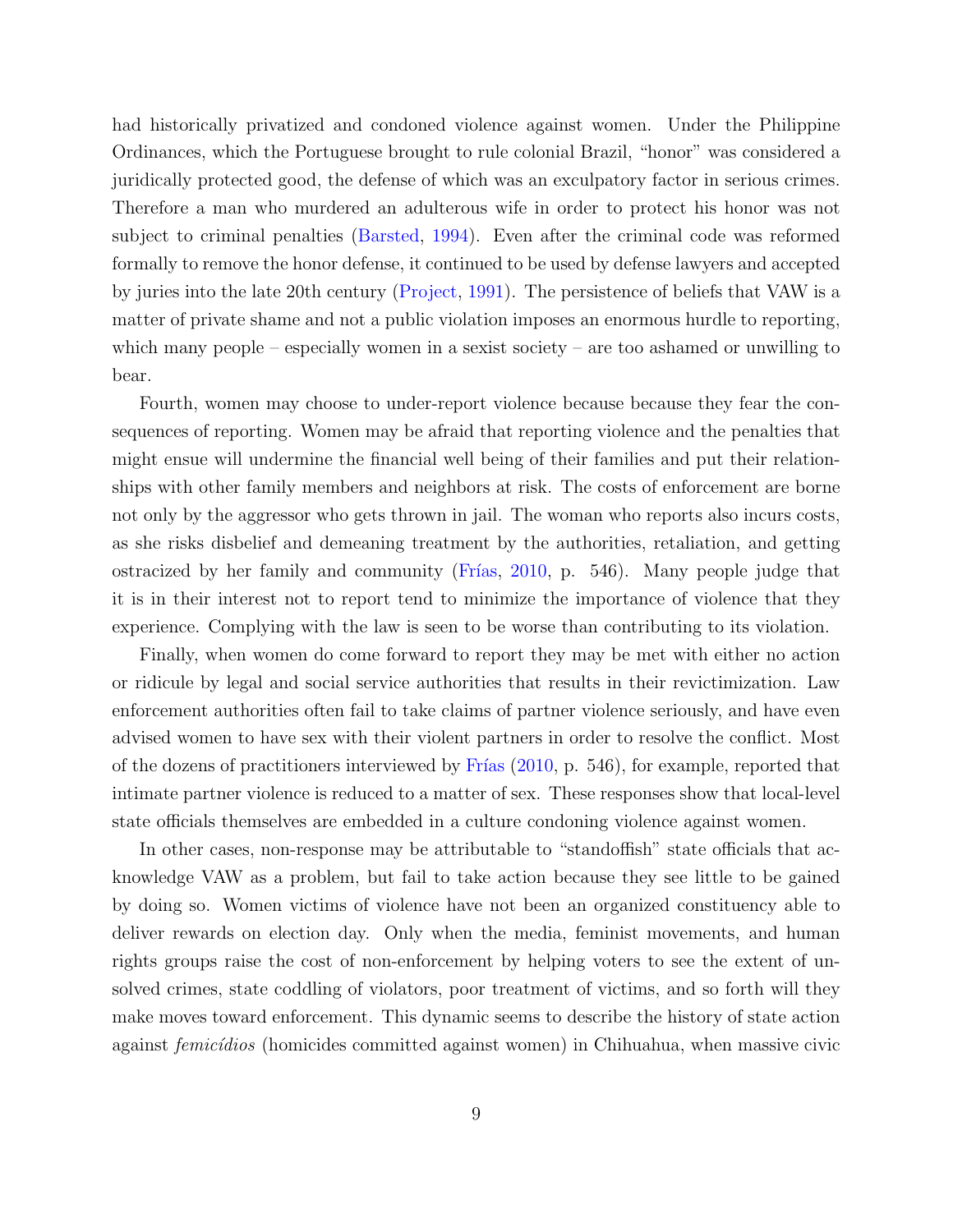had historically privatized and condoned violence against women. Under the Philippine Ordinances, which the Portuguese brought to rule colonial Brazil, "honor" was considered a juridically protected good, the defense of which was an exculpatory factor in serious crimes. Therefore a man who murdered an adulterous wife in order to protect his honor was not subject to criminal penalties [\(Barsted,](#page-22-6) [1994\)](#page-22-6). Even after the criminal code was reformed formally to remove the honor defense, it continued to be used by defense lawyers and accepted by juries into the late 20th century [\(Project,](#page-24-8) [1991\)](#page-24-8). The persistence of beliefs that VAW is a matter of private shame and not a public violation imposes an enormous hurdle to reporting, which many people – especially women in a sexist society – are too ashamed or unwilling to bear.

Fourth, women may choose to under-report violence because because they fear the consequences of reporting. Women may be afraid that reporting violence and the penalties that might ensue will undermine the financial well being of their families and put their relationships with other family members and neighbors at risk. The costs of enforcement are borne not only by the aggressor who gets thrown in jail. The woman who reports also incurs costs, as she risks disbelief and demeaning treatment by the authorities, retaliation, and getting ostracized by her family and community (Frías, [2010,](#page-23-8) p.  $546$ ). Many people judge that it is in their interest not to report tend to minimize the importance of violence that they experience. Complying with the law is seen to be worse than contributing to its violation.

Finally, when women do come forward to report they may be met with either no action or ridicule by legal and social service authorities that results in their revictimization. Law enforcement authorities often fail to take claims of partner violence seriously, and have even advised women to have sex with their violent partners in order to resolve the conflict. Most of the dozens of practitioners interviewed by Frías  $(2010, p. 546)$  $(2010, p. 546)$ , for example, reported that intimate partner violence is reduced to a matter of sex. These responses show that local-level state officials themselves are embedded in a culture condoning violence against women.

In other cases, non-response may be attributable to "standoffish" state officials that acknowledge VAW as a problem, but fail to take action because they see little to be gained by doing so. Women victims of violence have not been an organized constituency able to deliver rewards on election day. Only when the media, feminist movements, and human rights groups raise the cost of non-enforcement by helping voters to see the extent of unsolved crimes, state coddling of violators, poor treatment of victims, and so forth will they make moves toward enforcement. This dynamic seems to describe the history of state action against *femicídios* (homicides committed against women) in Chihuahua, when massive civic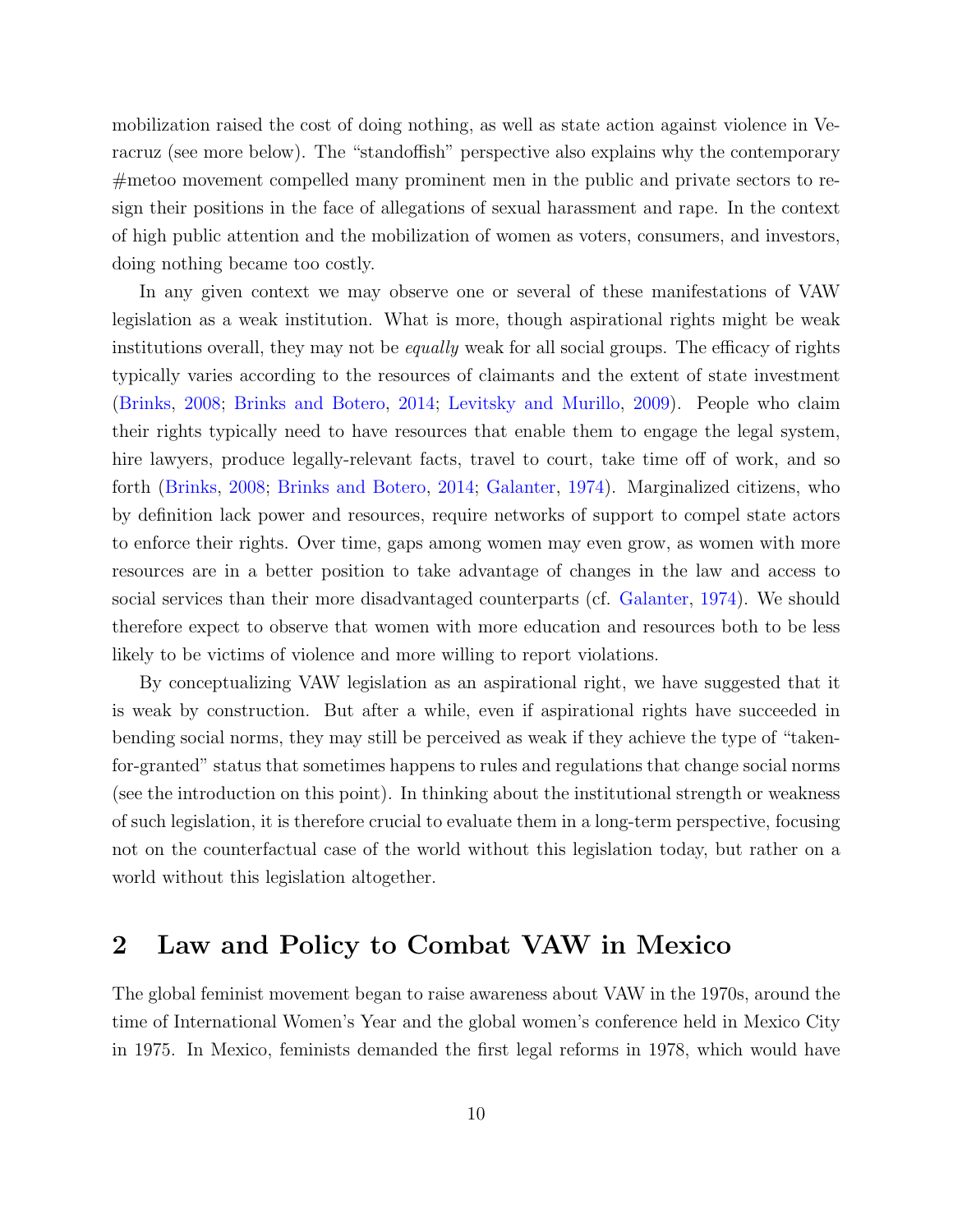mobilization raised the cost of doing nothing, as well as state action against violence in Veracruz (see more below). The "standoffish" perspective also explains why the contemporary #metoo movement compelled many prominent men in the public and private sectors to resign their positions in the face of allegations of sexual harassment and rape. In the context of high public attention and the mobilization of women as voters, consumers, and investors, doing nothing became too costly.

In any given context we may observe one or several of these manifestations of VAW legislation as a weak institution. What is more, though aspirational rights might be weak institutions overall, they may not be *equally* weak for all social groups. The efficacy of rights typically varies according to the resources of claimants and the extent of state investment [\(Brinks,](#page-22-3) [2008;](#page-22-3) [Brinks and Botero,](#page-22-5) [2014;](#page-22-5) [Levitsky and Murillo,](#page-24-1) [2009\)](#page-24-1). People who claim their rights typically need to have resources that enable them to engage the legal system, hire lawyers, produce legally-relevant facts, travel to court, take time off of work, and so forth [\(Brinks,](#page-22-3) [2008;](#page-22-3) [Brinks and Botero,](#page-22-5) [2014;](#page-22-5) [Galanter,](#page-23-11) [1974\)](#page-23-11). Marginalized citizens, who by definition lack power and resources, require networks of support to compel state actors to enforce their rights. Over time, gaps among women may even grow, as women with more resources are in a better position to take advantage of changes in the law and access to social services than their more disadvantaged counterparts (cf. [Galanter,](#page-23-11) [1974\)](#page-23-11). We should therefore expect to observe that women with more education and resources both to be less likely to be victims of violence and more willing to report violations.

By conceptualizing VAW legislation as an aspirational right, we have suggested that it is weak by construction. But after a while, even if aspirational rights have succeeded in bending social norms, they may still be perceived as weak if they achieve the type of "takenfor-granted" status that sometimes happens to rules and regulations that change social norms (see the introduction on this point). In thinking about the institutional strength or weakness of such legislation, it is therefore crucial to evaluate them in a long-term perspective, focusing not on the counterfactual case of the world without this legislation today, but rather on a world without this legislation altogether.

# <span id="page-9-0"></span>2 Law and Policy to Combat VAW in Mexico

The global feminist movement began to raise awareness about VAW in the 1970s, around the time of International Women's Year and the global women's conference held in Mexico City in 1975. In Mexico, feminists demanded the first legal reforms in 1978, which would have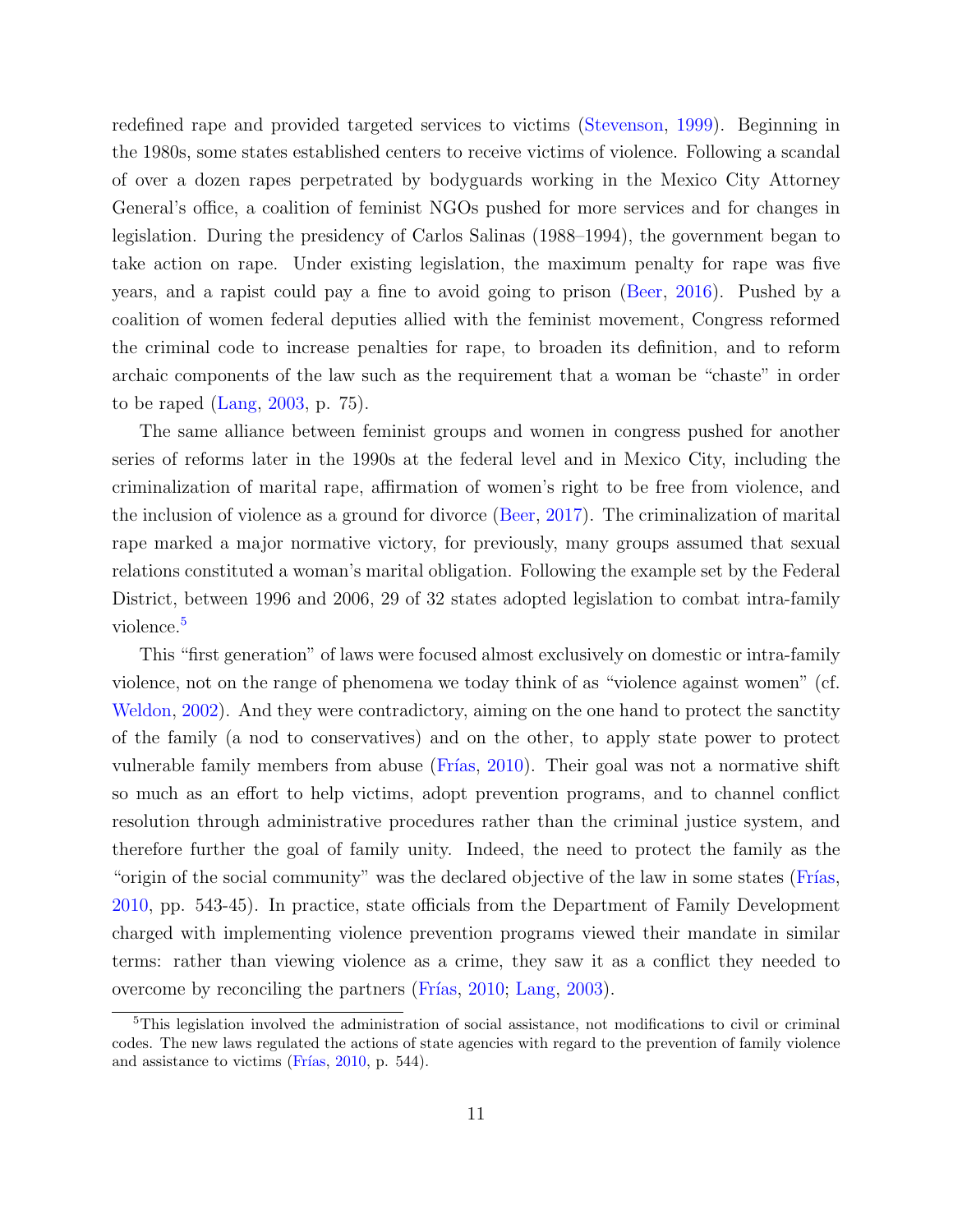redefined rape and provided targeted services to victims [\(Stevenson,](#page-25-7) [1999\)](#page-25-7). Beginning in the 1980s, some states established centers to receive victims of violence. Following a scandal of over a dozen rapes perpetrated by bodyguards working in the Mexico City Attorney General's office, a coalition of feminist NGOs pushed for more services and for changes in legislation. During the presidency of Carlos Salinas (1988–1994), the government began to take action on rape. Under existing legislation, the maximum penalty for rape was five years, and a rapist could pay a fine to avoid going to prison [\(Beer,](#page-22-7) [2016\)](#page-22-7). Pushed by a coalition of women federal deputies allied with the feminist movement, Congress reformed the criminal code to increase penalties for rape, to broaden its definition, and to reform archaic components of the law such as the requirement that a woman be "chaste" in order to be raped [\(Lang,](#page-24-9) [2003,](#page-24-9) p. 75).

The same alliance between feminist groups and women in congress pushed for another series of reforms later in the 1990s at the federal level and in Mexico City, including the criminalization of marital rape, affirmation of women's right to be free from violence, and the inclusion of violence as a ground for divorce [\(Beer,](#page-22-8) [2017\)](#page-22-8). The criminalization of marital rape marked a major normative victory, for previously, many groups assumed that sexual relations constituted a woman's marital obligation. Following the example set by the Federal District, between 1996 and 2006, 29 of 32 states adopted legislation to combat intra-family violence.[5](#page-10-0)

This "first generation" of laws were focused almost exclusively on domestic or intra-family violence, not on the range of phenomena we today think of as "violence against women" (cf. [Weldon,](#page-25-1) [2002\)](#page-25-1). And they were contradictory, aiming on the one hand to protect the sanctity of the family (a nod to conservatives) and on the other, to apply state power to protect vulnerable family members from abuse (Frías,  $2010$ ). Their goal was not a normative shift so much as an effort to help victims, adopt prevention programs, and to channel conflict resolution through administrative procedures rather than the criminal justice system, and therefore further the goal of family unity. Indeed, the need to protect the family as the "origin of the social community" was the declared objective of the law in some states (Frías, [2010,](#page-23-8) pp. 543-45). In practice, state officials from the Department of Family Development charged with implementing violence prevention programs viewed their mandate in similar terms: rather than viewing violence as a crime, they saw it as a conflict they needed to overcome by reconciling the partners (Frías, [2010;](#page-23-8) [Lang,](#page-24-9) [2003\)](#page-24-9).

<span id="page-10-0"></span><sup>&</sup>lt;sup>5</sup>This legislation involved the administration of social assistance, not modifications to civil or criminal codes. The new laws regulated the actions of state agencies with regard to the prevention of family violence and assistance to victims (Frías,  $2010$ , p. 544).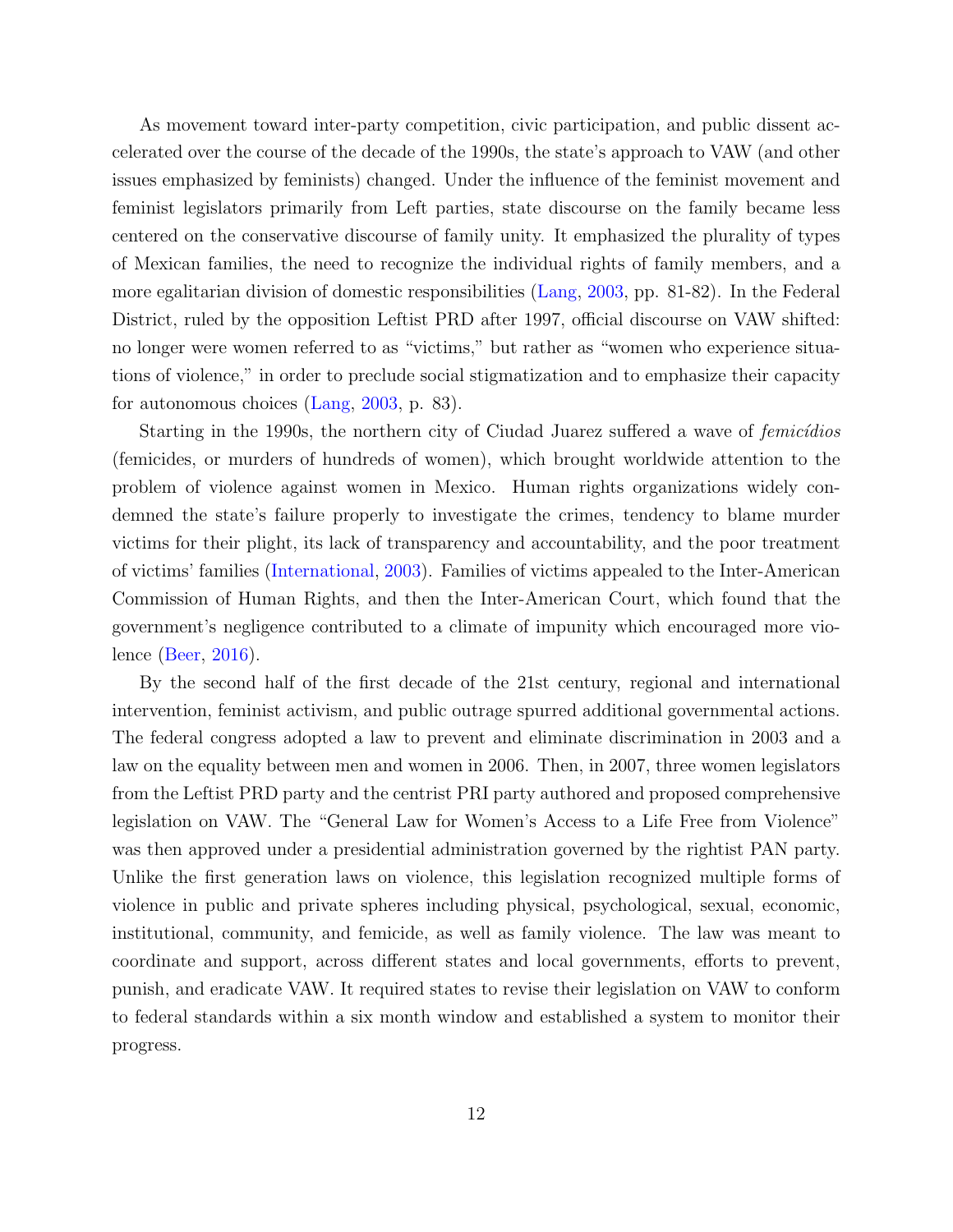As movement toward inter-party competition, civic participation, and public dissent accelerated over the course of the decade of the 1990s, the state's approach to VAW (and other issues emphasized by feminists) changed. Under the influence of the feminist movement and feminist legislators primarily from Left parties, state discourse on the family became less centered on the conservative discourse of family unity. It emphasized the plurality of types of Mexican families, the need to recognize the individual rights of family members, and a more egalitarian division of domestic responsibilities [\(Lang,](#page-24-9) [2003,](#page-24-9) pp. 81-82). In the Federal District, ruled by the opposition Leftist PRD after 1997, official discourse on VAW shifted: no longer were women referred to as "victims," but rather as "women who experience situations of violence," in order to preclude social stigmatization and to emphasize their capacity for autonomous choices [\(Lang,](#page-24-9) [2003,](#page-24-9) p. 83).

Starting in the 1990s, the northern city of Ciudad Juarez suffered a wave of *femicidios* (femicides, or murders of hundreds of women), which brought worldwide attention to the problem of violence against women in Mexico. Human rights organizations widely condemned the state's failure properly to investigate the crimes, tendency to blame murder victims for their plight, its lack of transparency and accountability, and the poor treatment of victims' families [\(International,](#page-24-10) [2003\)](#page-24-10). Families of victims appealed to the Inter-American Commission of Human Rights, and then the Inter-American Court, which found that the government's negligence contributed to a climate of impunity which encouraged more violence [\(Beer,](#page-22-7) [2016\)](#page-22-7).

By the second half of the first decade of the 21st century, regional and international intervention, feminist activism, and public outrage spurred additional governmental actions. The federal congress adopted a law to prevent and eliminate discrimination in 2003 and a law on the equality between men and women in 2006. Then, in 2007, three women legislators from the Leftist PRD party and the centrist PRI party authored and proposed comprehensive legislation on VAW. The "General Law for Women's Access to a Life Free from Violence" was then approved under a presidential administration governed by the rightist PAN party. Unlike the first generation laws on violence, this legislation recognized multiple forms of violence in public and private spheres including physical, psychological, sexual, economic, institutional, community, and femicide, as well as family violence. The law was meant to coordinate and support, across different states and local governments, efforts to prevent, punish, and eradicate VAW. It required states to revise their legislation on VAW to conform to federal standards within a six month window and established a system to monitor their progress.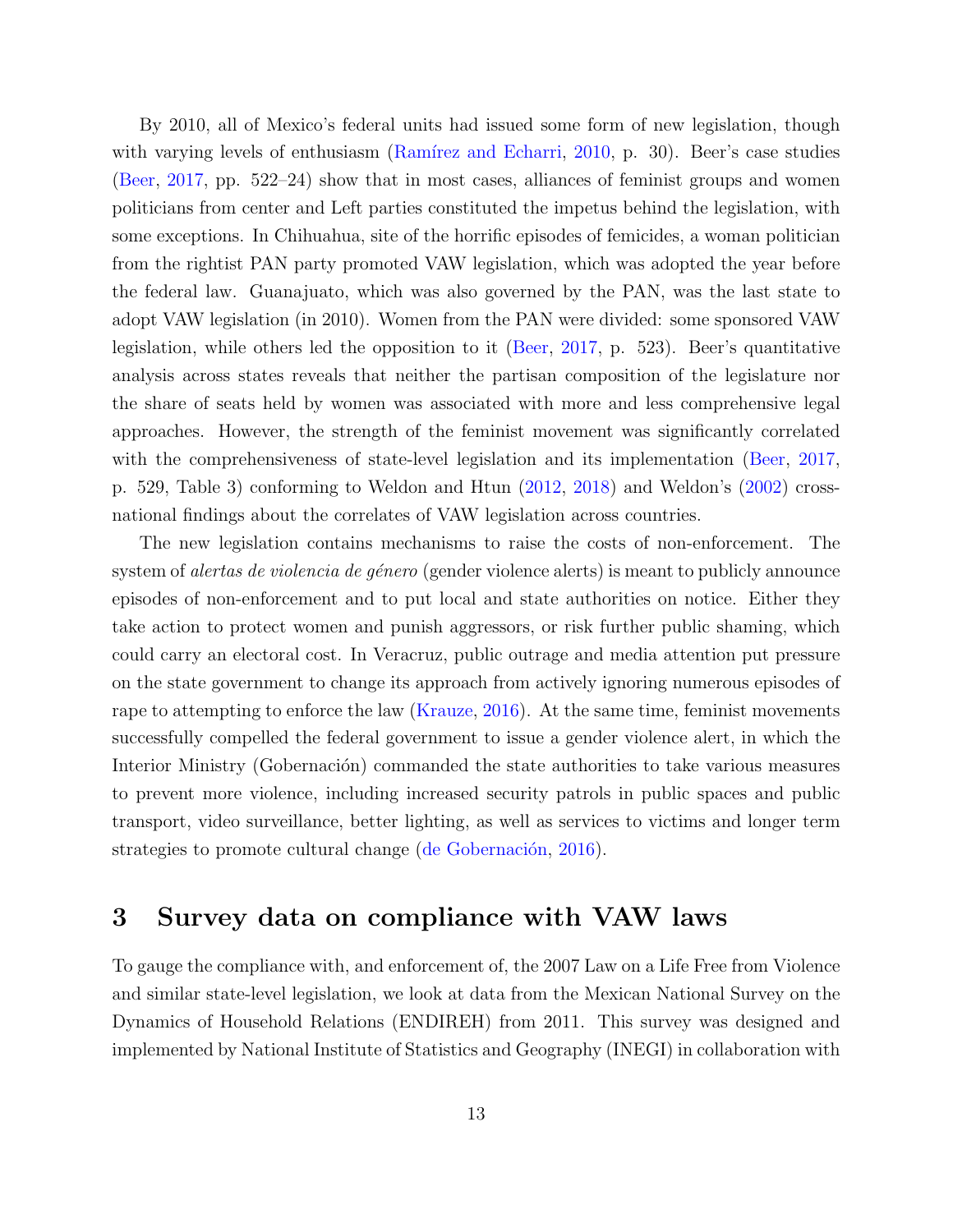By 2010, all of Mexico's federal units had issued some form of new legislation, though with varying levels of enthusiasm (Ramírez and Echarri, [2010,](#page-25-8) p. 30). Beer's case studies [\(Beer,](#page-22-8) [2017,](#page-22-8) pp. 522–24) show that in most cases, alliances of feminist groups and women politicians from center and Left parties constituted the impetus behind the legislation, with some exceptions. In Chihuahua, site of the horrific episodes of femicides, a woman politician from the rightist PAN party promoted VAW legislation, which was adopted the year before the federal law. Guanajuato, which was also governed by the PAN, was the last state to adopt VAW legislation (in 2010). Women from the PAN were divided: some sponsored VAW legislation, while others led the opposition to it [\(Beer,](#page-22-8) [2017,](#page-22-8) p. 523). Beer's quantitative analysis across states reveals that neither the partisan composition of the legislature nor the share of seats held by women was associated with more and less comprehensive legal approaches. However, the strength of the feminist movement was significantly correlated with the comprehensiveness of state-level legislation and its implementation [\(Beer,](#page-22-8) [2017,](#page-22-8) p. 529, Table 3) conforming to Weldon and Htun [\(2012,](#page-23-0) [2018\)](#page-24-0) and Weldon's [\(2002\)](#page-25-1) crossnational findings about the correlates of VAW legislation across countries.

The new legislation contains mechanisms to raise the costs of non-enforcement. The system of *alertas de violencia de género* (gender violence alerts) is meant to publicly announce episodes of non-enforcement and to put local and state authorities on notice. Either they take action to protect women and punish aggressors, or risk further public shaming, which could carry an electoral cost. In Veracruz, public outrage and media attention put pressure on the state government to change its approach from actively ignoring numerous episodes of rape to attempting to enforce the law [\(Krauze,](#page-24-11) [2016\)](#page-24-11). At the same time, feminist movements successfully compelled the federal government to issue a gender violence alert, in which the Interior Ministry (Gobernación) commanded the state authorities to take various measures to prevent more violence, including increased security patrols in public spaces and public transport, video surveillance, better lighting, as well as services to victims and longer term strategies to promote cultural change (de Gobernación, [2016\)](#page-22-9).

## <span id="page-12-0"></span>3 Survey data on compliance with VAW laws

To gauge the compliance with, and enforcement of, the 2007 Law on a Life Free from Violence and similar state-level legislation, we look at data from the Mexican National Survey on the Dynamics of Household Relations (ENDIREH) from 2011. This survey was designed and implemented by National Institute of Statistics and Geography (INEGI) in collaboration with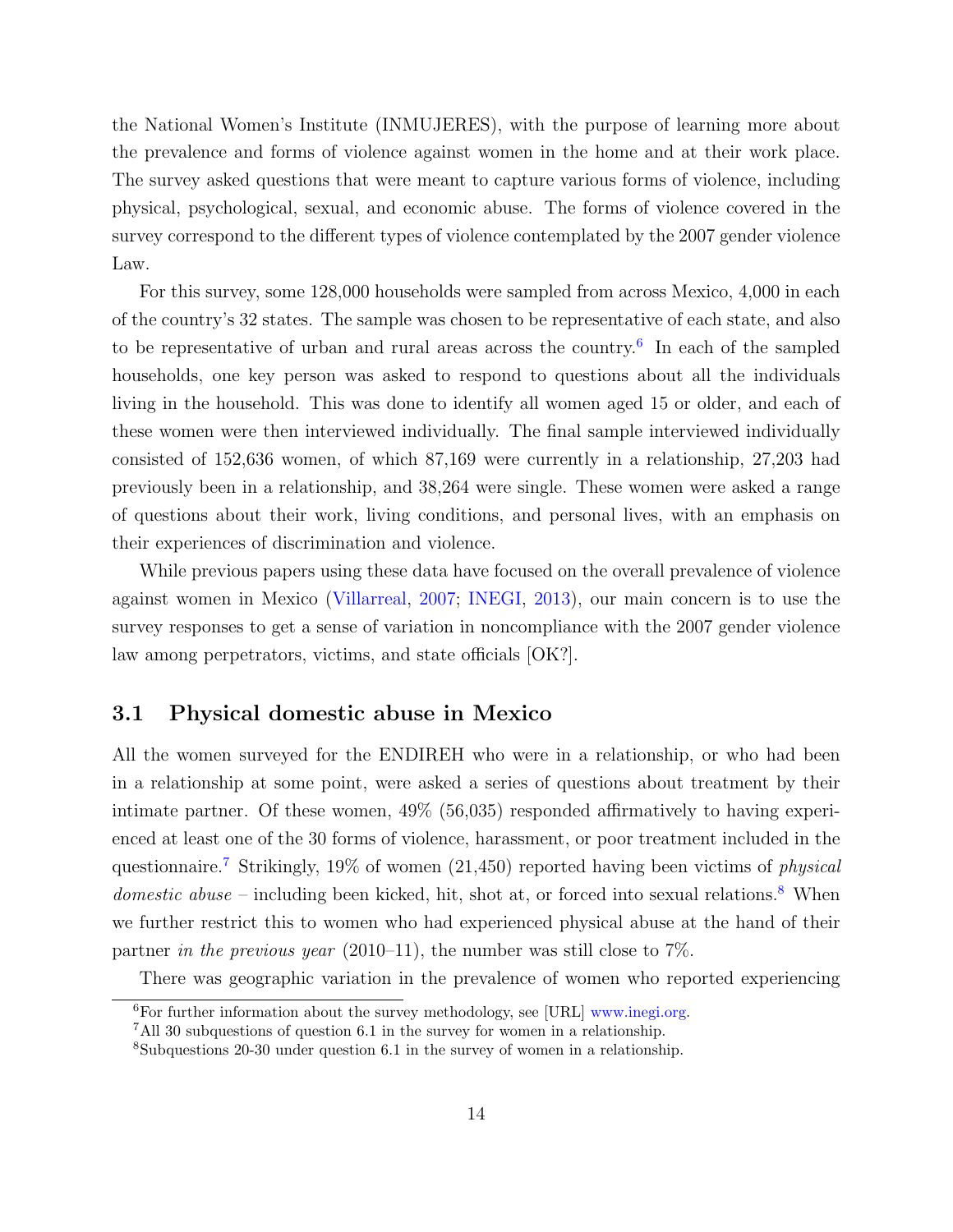the National Women's Institute (INMUJERES), with the purpose of learning more about the prevalence and forms of violence against women in the home and at their work place. The survey asked questions that were meant to capture various forms of violence, including physical, psychological, sexual, and economic abuse. The forms of violence covered in the survey correspond to the different types of violence contemplated by the 2007 gender violence Law.

For this survey, some 128,000 households were sampled from across Mexico, 4,000 in each of the country's 32 states. The sample was chosen to be representative of each state, and also to be representative of urban and rural areas across the country.<sup>[6](#page-13-0)</sup> In each of the sampled households, one key person was asked to respond to questions about all the individuals living in the household. This was done to identify all women aged 15 or older, and each of these women were then interviewed individually. The final sample interviewed individually consisted of 152,636 women, of which 87,169 were currently in a relationship, 27,203 had previously been in a relationship, and 38,264 were single. These women were asked a range of questions about their work, living conditions, and personal lives, with an emphasis on their experiences of discrimination and violence.

While previous papers using these data have focused on the overall prevalence of violence against women in Mexico [\(Villarreal,](#page-25-9) [2007;](#page-25-9) [INEGI,](#page-24-12) [2013\)](#page-24-12), our main concern is to use the survey responses to get a sense of variation in noncompliance with the 2007 gender violence law among perpetrators, victims, and state officials [OK?].

#### 3.1 Physical domestic abuse in Mexico

All the women surveyed for the ENDIREH who were in a relationship, or who had been in a relationship at some point, were asked a series of questions about treatment by their intimate partner. Of these women, 49% (56,035) responded affirmatively to having experienced at least one of the 30 forms of violence, harassment, or poor treatment included in the questionnaire.<sup>[7](#page-13-1)</sup> Strikingly, 19% of women  $(21,450)$  reported having been victims of *physical* domestic abuse – including been kicked, hit, shot at, or forced into sexual relations.<sup>[8](#page-13-2)</sup> When we further restrict this to women who had experienced physical abuse at the hand of their partner in the previous year (2010–11), the number was still close to 7%.

There was geographic variation in the prevalence of women who reported experiencing

<span id="page-13-0"></span> ${}^{6}$ For further information about the survey methodology, see [URL] [www.inegi.org.](http://www.inegi.org.mx/est/contenidos/proyectos/encuestas/hogares/especiales/endireh/endireh2011/default.aspx)

<span id="page-13-1"></span><sup>7</sup>All 30 subquestions of question 6.1 in the survey for women in a relationship.

<span id="page-13-2"></span><sup>8</sup>Subquestions 20-30 under question 6.1 in the survey of women in a relationship.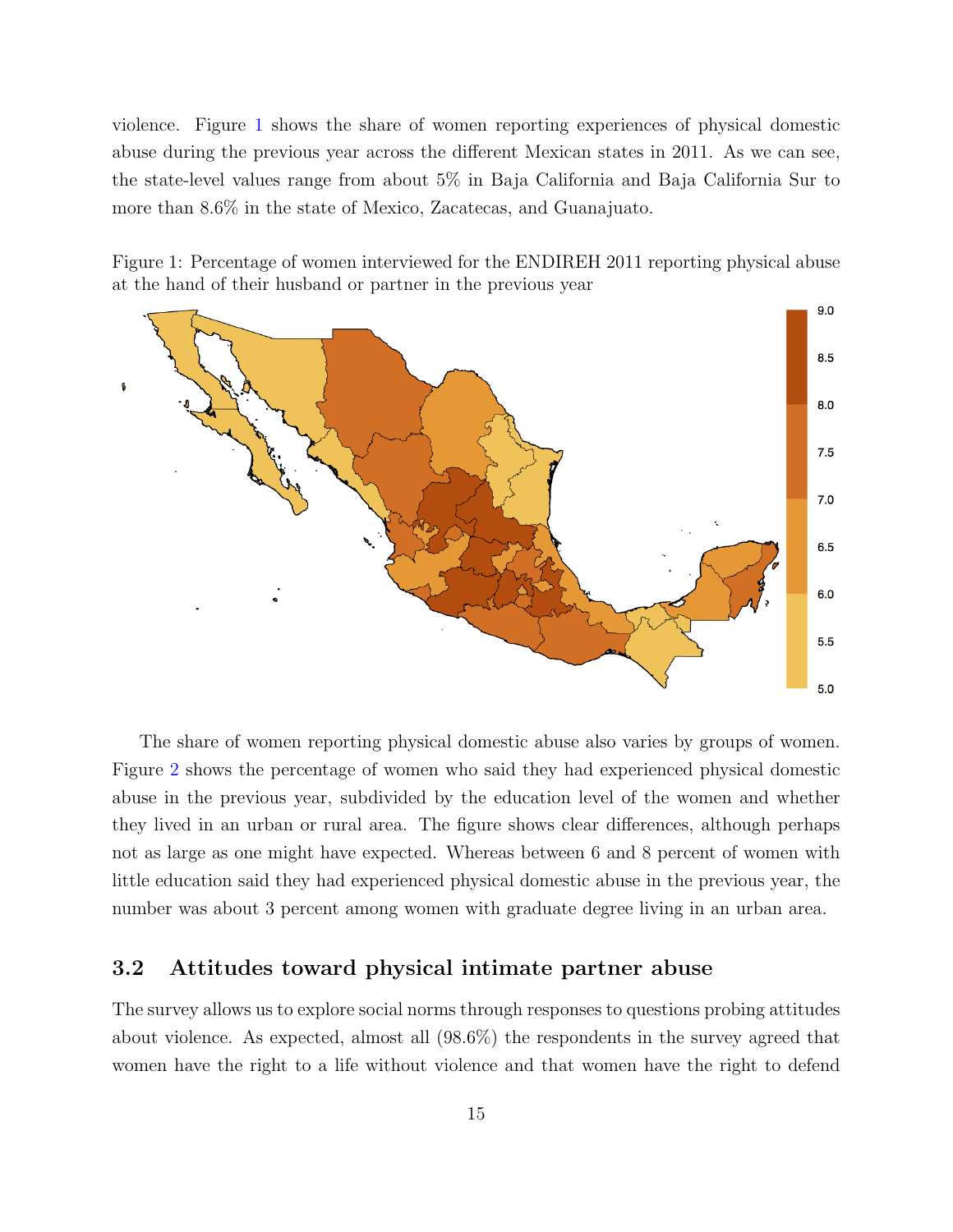violence. Figure [1](#page-14-0) shows the share of women reporting experiences of physical domestic abuse during the previous year across the different Mexican states in 2011. As we can see, the state-level values range from about 5% in Baja California and Baja California Sur to more than 8.6% in the state of Mexico, Zacatecas, and Guanajuato.

<span id="page-14-0"></span>Figure 1: Percentage of women interviewed for the ENDIREH 2011 reporting physical abuse at the hand of their husband or partner in the previous year



The share of women reporting physical domestic abuse also varies by groups of women. Figure [2](#page-15-0) shows the percentage of women who said they had experienced physical domestic abuse in the previous year, subdivided by the education level of the women and whether they lived in an urban or rural area. The figure shows clear differences, although perhaps not as large as one might have expected. Whereas between 6 and 8 percent of women with little education said they had experienced physical domestic abuse in the previous year, the number was about 3 percent among women with graduate degree living in an urban area.

#### 3.2 Attitudes toward physical intimate partner abuse

The survey allows us to explore social norms through responses to questions probing attitudes about violence. As expected, almost all (98.6%) the respondents in the survey agreed that women have the right to a life without violence and that women have the right to defend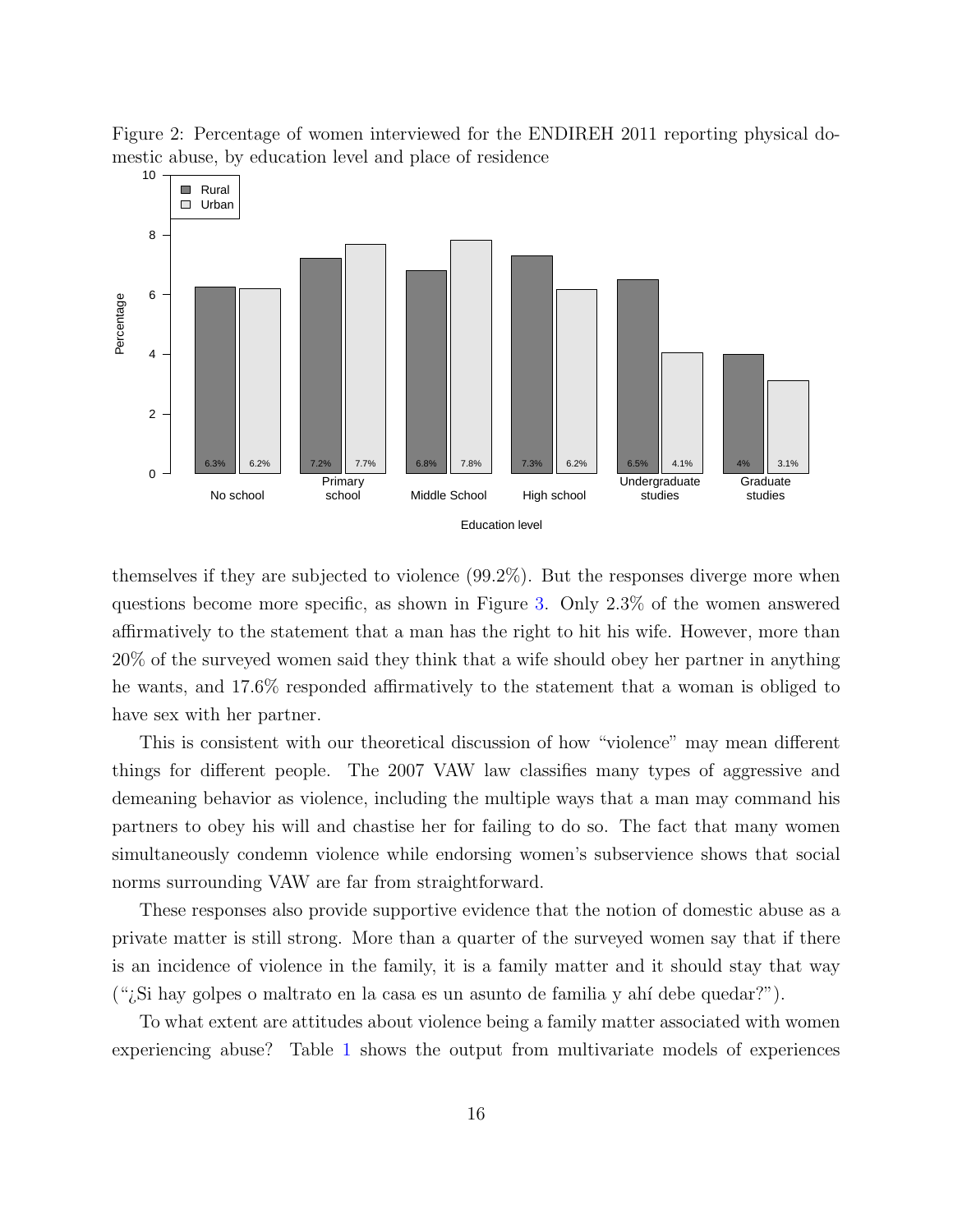

<span id="page-15-0"></span>Figure 2: Percentage of women interviewed for the ENDIREH 2011 reporting physical domestic abuse, by education level and place of residence

themselves if they are subjected to violence (99.2%). But the responses diverge more when questions become more specific, as shown in Figure [3.](#page-16-0) Only 2.3% of the women answered affirmatively to the statement that a man has the right to hit his wife. However, more than 20% of the surveyed women said they think that a wife should obey her partner in anything he wants, and 17.6% responded affirmatively to the statement that a woman is obliged to have sex with her partner.

This is consistent with our theoretical discussion of how "violence" may mean different things for different people. The 2007 VAW law classifies many types of aggressive and demeaning behavior as violence, including the multiple ways that a man may command his partners to obey his will and chastise her for failing to do so. The fact that many women simultaneously condemn violence while endorsing women's subservience shows that social norms surrounding VAW are far from straightforward.

These responses also provide supportive evidence that the notion of domestic abuse as a private matter is still strong. More than a quarter of the surveyed women say that if there is an incidence of violence in the family, it is a family matter and it should stay that way ("¿Si hay golpes o maltrato en la casa es un asunto de familia y ahí debe quedar?").

To what extent are attitudes about violence being a family matter associated with women experiencing abuse? Table [1](#page-17-0) shows the output from multivariate models of experiences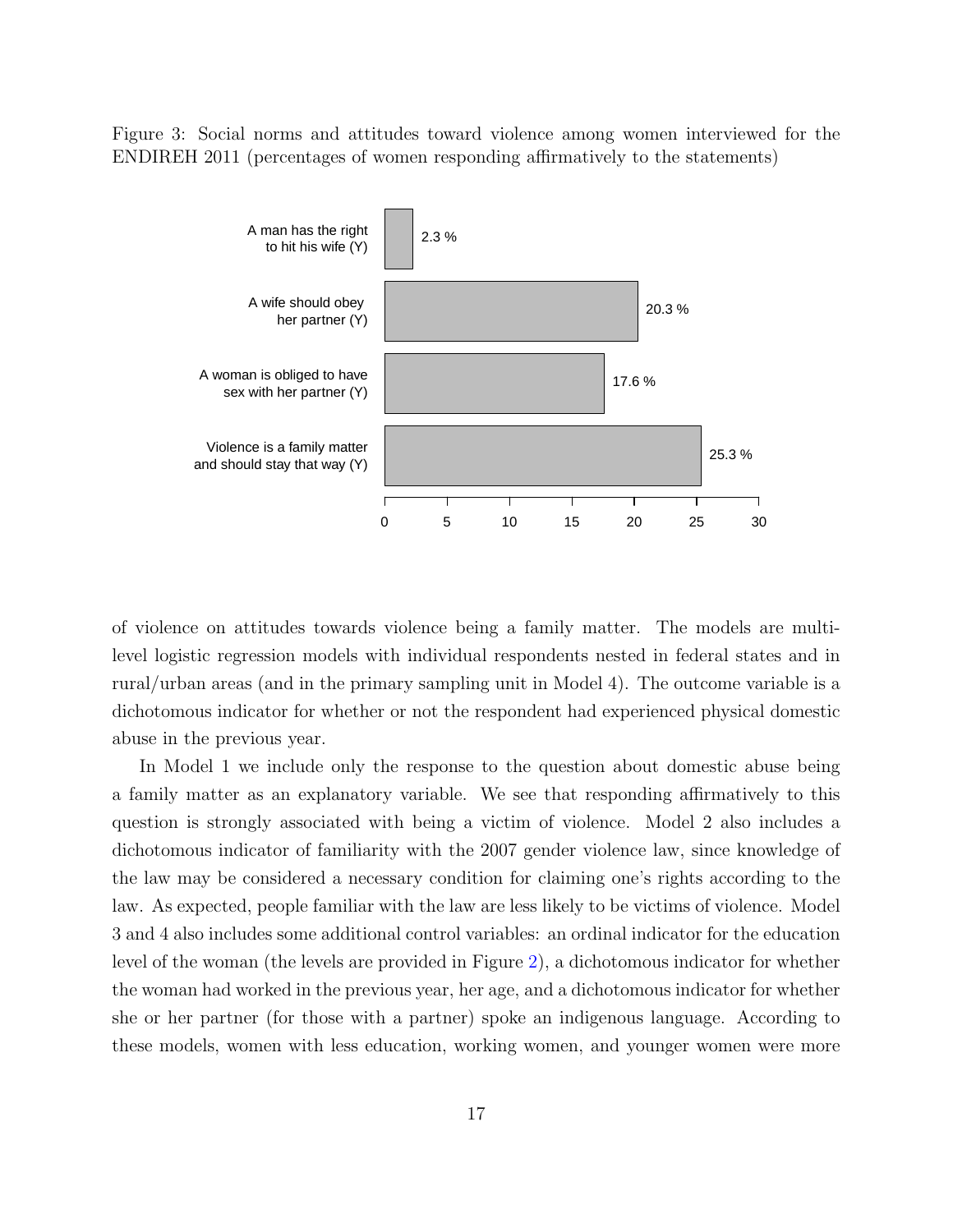Figure 3: Social norms and attitudes toward violence among women interviewed for the ENDIREH 2011 (percentages of women responding affirmatively to the statements)

<span id="page-16-0"></span>

of violence on attitudes towards violence being a family matter. The models are multilevel logistic regression models with individual respondents nested in federal states and in rural/urban areas (and in the primary sampling unit in Model 4). The outcome variable is a dichotomous indicator for whether or not the respondent had experienced physical domestic abuse in the previous year.

In Model 1 we include only the response to the question about domestic abuse being a family matter as an explanatory variable. We see that responding affirmatively to this question is strongly associated with being a victim of violence. Model 2 also includes a dichotomous indicator of familiarity with the 2007 gender violence law, since knowledge of the law may be considered a necessary condition for claiming one's rights according to the law. As expected, people familiar with the law are less likely to be victims of violence. Model 3 and 4 also includes some additional control variables: an ordinal indicator for the education level of the woman (the levels are provided in Figure [2\)](#page-15-0), a dichotomous indicator for whether the woman had worked in the previous year, her age, and a dichotomous indicator for whether she or her partner (for those with a partner) spoke an indigenous language. According to these models, women with less education, working women, and younger women were more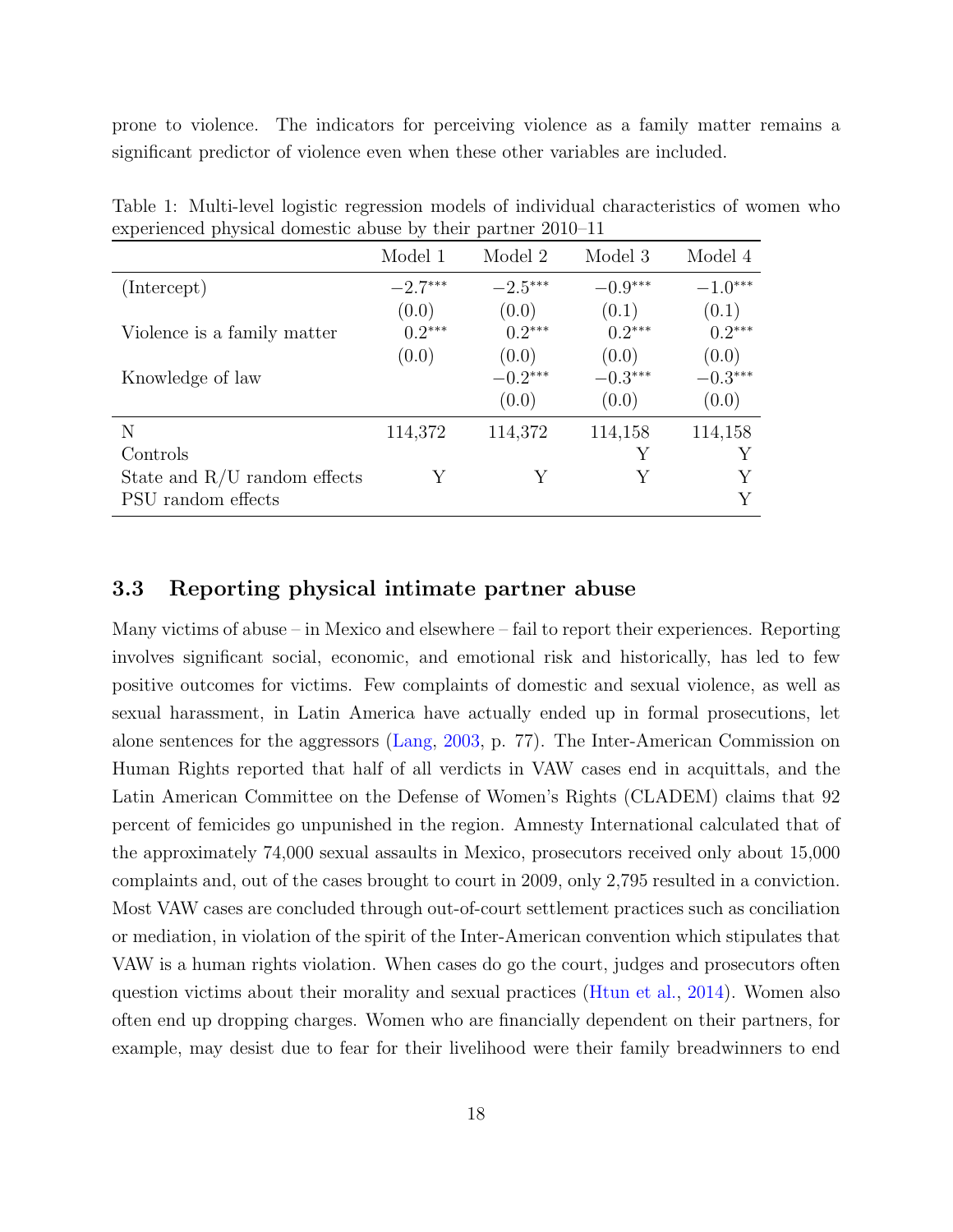prone to violence. The indicators for perceiving violence as a family matter remains a significant predictor of violence even when these other variables are included.

| $\mathbf{r}$<br><b>I</b><br>$\overline{v}$ | $\cdot$<br>Model 1 | <b>I</b><br>Model 2 | Model 3   | Model 4   |
|--------------------------------------------|--------------------|---------------------|-----------|-----------|
| (Intercept)                                | $-2.7***$          | $-2.5***$           | $-0.9***$ | $-1.0***$ |
|                                            | (0.0)              | (0.0)               | (0.1)     | (0.1)     |
| Violence is a family matter                | $0.2***$           | $0.2***$            | $0.2***$  | $0.2***$  |
|                                            | (0.0)              | (0.0)               | (0.0)     | (0.0)     |
| Knowledge of law                           |                    | $-0.2***$           | $-0.3***$ | $-0.3***$ |
|                                            |                    | (0.0)               | (0.0)     | (0.0)     |
| N                                          | 114,372            | 114,372             | 114,158   | 114,158   |
| Controls                                   |                    |                     | Y         |           |
| State and $R/U$ random effects             | Y                  | Y                   | Y         |           |
| PSU random effects                         |                    |                     |           |           |

<span id="page-17-0"></span>Table 1: Multi-level logistic regression models of individual characteristics of women who experienced physical domestic abuse by their partner 2010–11

#### 3.3 Reporting physical intimate partner abuse

Many victims of abuse – in Mexico and elsewhere – fail to report their experiences. Reporting involves significant social, economic, and emotional risk and historically, has led to few positive outcomes for victims. Few complaints of domestic and sexual violence, as well as sexual harassment, in Latin America have actually ended up in formal prosecutions, let alone sentences for the aggressors [\(Lang,](#page-24-9) [2003,](#page-24-9) p. 77). The Inter-American Commission on Human Rights reported that half of all verdicts in VAW cases end in acquittals, and the Latin American Committee on the Defense of Women's Rights (CLADEM) claims that 92 percent of femicides go unpunished in the region. Amnesty International calculated that of the approximately 74,000 sexual assaults in Mexico, prosecutors received only about 15,000 complaints and, out of the cases brought to court in 2009, only 2,795 resulted in a conviction. Most VAW cases are concluded through out-of-court settlement practices such as conciliation or mediation, in violation of the spirit of the Inter-American convention which stipulates that VAW is a human rights violation. When cases do go the court, judges and prosecutors often question victims about their morality and sexual practices [\(Htun et al.,](#page-23-12) [2014\)](#page-23-12). Women also often end up dropping charges. Women who are financially dependent on their partners, for example, may desist due to fear for their livelihood were their family breadwinners to end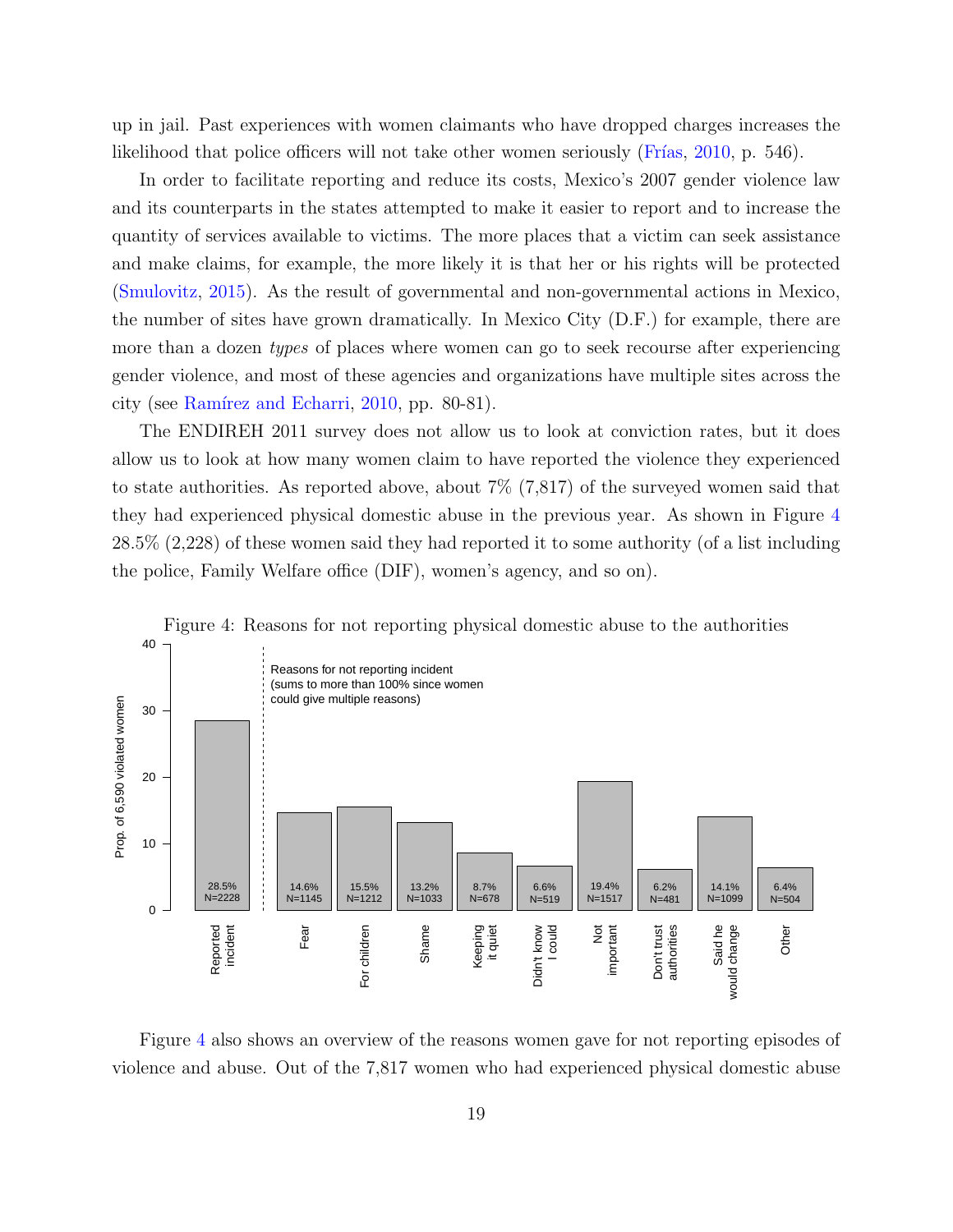up in jail. Past experiences with women claimants who have dropped charges increases the likelihood that police officers will not take other women seriously (Frías,  $2010$ , p. 546).

In order to facilitate reporting and reduce its costs, Mexico's 2007 gender violence law and its counterparts in the states attempted to make it easier to report and to increase the quantity of services available to victims. The more places that a victim can seek assistance and make claims, for example, the more likely it is that her or his rights will be protected [\(Smulovitz,](#page-25-2) [2015\)](#page-25-2). As the result of governmental and non-governmental actions in Mexico, the number of sites have grown dramatically. In Mexico City (D.F.) for example, there are more than a dozen *types* of places where women can go to seek recourse after experiencing gender violence, and most of these agencies and organizations have multiple sites across the city (see Ramírez and Echarri,  $2010$ , pp. 80-81).

The ENDIREH 2011 survey does not allow us to look at conviction rates, but it does allow us to look at how many women claim to have reported the violence they experienced to state authorities. As reported above, about 7% (7,817) of the surveyed women said that they had experienced physical domestic abuse in the previous year. As shown in Figure [4](#page-18-0) 28.5% (2,228) of these women said they had reported it to some authority (of a list including the police, Family Welfare office (DIF), women's agency, and so on).

<span id="page-18-0"></span>

Figure [4](#page-18-0) also shows an overview of the reasons women gave for not reporting episodes of violence and abuse. Out of the 7,817 women who had experienced physical domestic abuse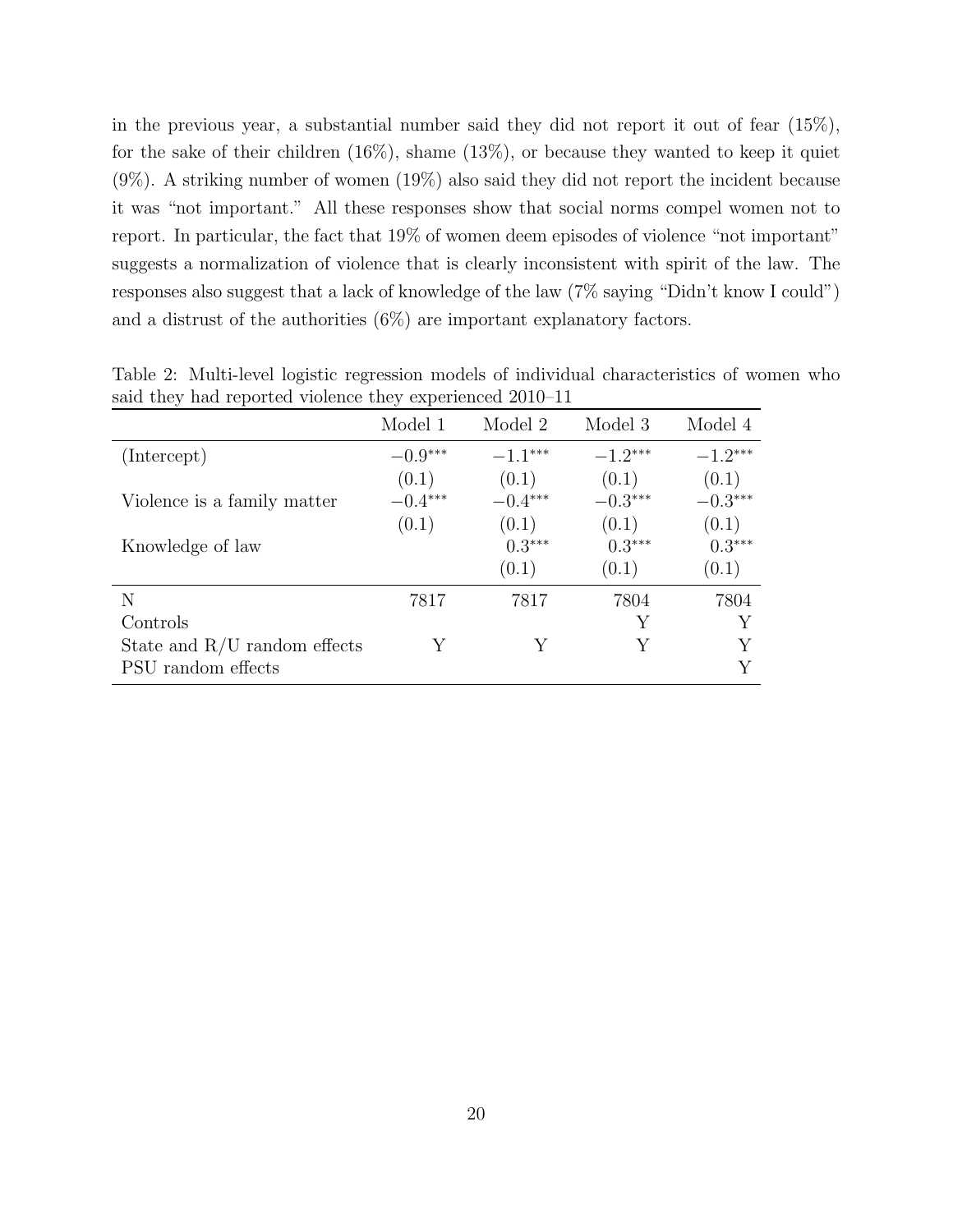in the previous year, a substantial number said they did not report it out of fear (15%), for the sake of their children  $(16\%)$ , shame  $(13\%)$ , or because they wanted to keep it quiet (9%). A striking number of women (19%) also said they did not report the incident because it was "not important." All these responses show that social norms compel women not to report. In particular, the fact that 19% of women deem episodes of violence "not important" suggests a normalization of violence that is clearly inconsistent with spirit of the law. The responses also suggest that a lack of knowledge of the law (7% saying "Didn't know I could") and a distrust of the authorities  $(6\%)$  are important explanatory factors.

| said they had reported violence they experienced 2010 Tr |           |           |           |  |  |
|----------------------------------------------------------|-----------|-----------|-----------|--|--|
| Model 1                                                  | Model 2   | Model 3   | Model 4   |  |  |
| $-0.9***$                                                | $-1.1***$ | $-1.2***$ | $-1.2***$ |  |  |
| (0.1)                                                    | (0.1)     | (0.1)     | (0.1)     |  |  |
| $-0.4***$                                                | $-0.4***$ | $-0.3***$ | $-0.3***$ |  |  |
| (0.1)                                                    | (0.1)     | (0.1)     | (0.1)     |  |  |
|                                                          | $0.3***$  | $0.3***$  | $0.3***$  |  |  |
|                                                          | (0.1)     | (0.1)     | (0.1)     |  |  |
| 7817                                                     | 7817      | 7804      | 7804      |  |  |
|                                                          |           | Y         | Y         |  |  |
| Y                                                        | Y         | Y         | Y         |  |  |
|                                                          |           |           | Y         |  |  |
|                                                          |           |           |           |  |  |

<span id="page-19-0"></span>Table 2: Multi-level logistic regression models of individual characteristics of women who said they had reported violence they experienced 2010–11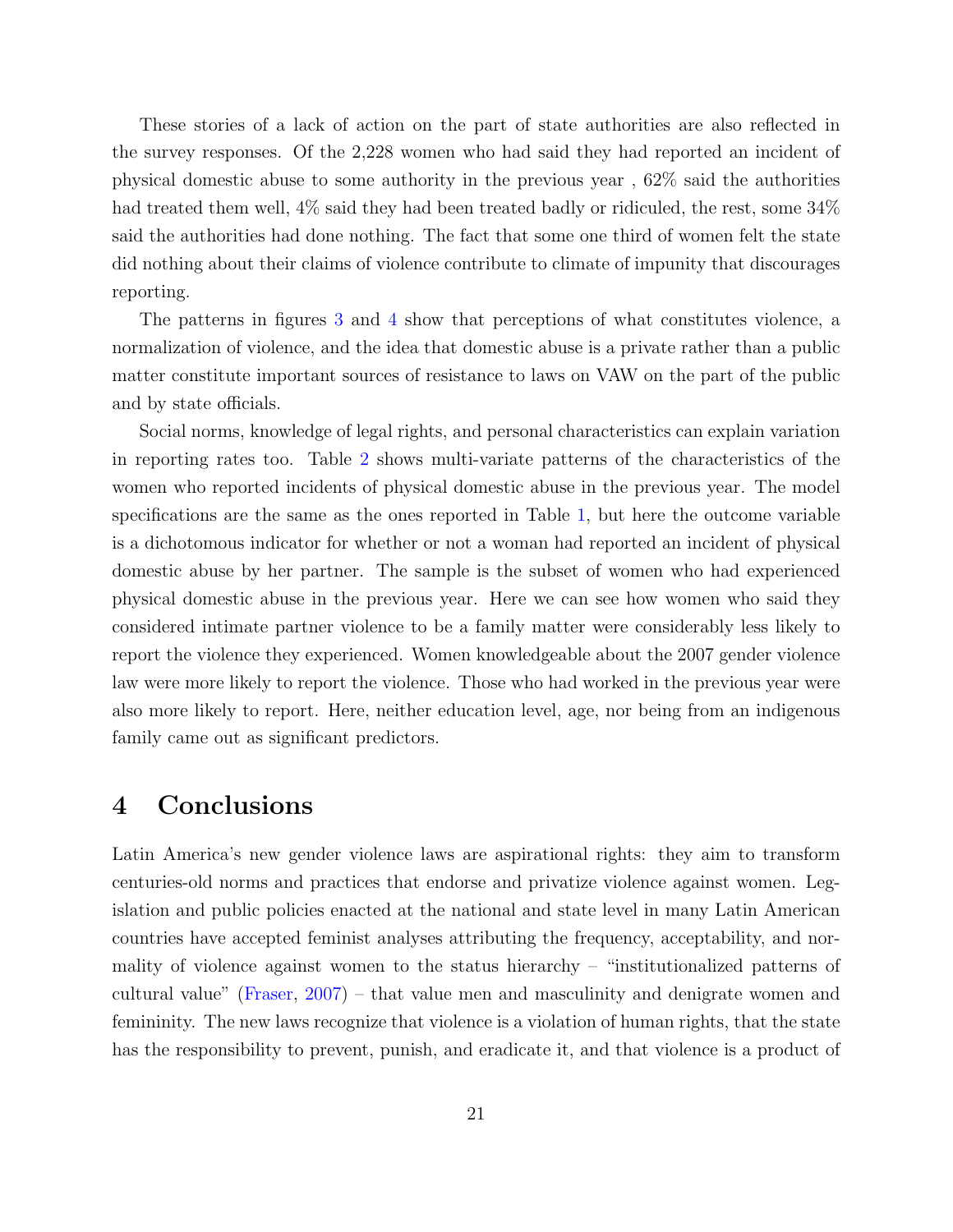These stories of a lack of action on the part of state authorities are also reflected in the survey responses. Of the 2,228 women who had said they had reported an incident of physical domestic abuse to some authority in the previous year , 62% said the authorities had treated them well,  $4\%$  said they had been treated badly or ridiculed, the rest, some  $34\%$ said the authorities had done nothing. The fact that some one third of women felt the state did nothing about their claims of violence contribute to climate of impunity that discourages reporting.

The patterns in figures [3](#page-16-0) and [4](#page-18-0) show that perceptions of what constitutes violence, a normalization of violence, and the idea that domestic abuse is a private rather than a public matter constitute important sources of resistance to laws on VAW on the part of the public and by state officials.

Social norms, knowledge of legal rights, and personal characteristics can explain variation in reporting rates too. Table [2](#page-19-0) shows multi-variate patterns of the characteristics of the women who reported incidents of physical domestic abuse in the previous year. The model specifications are the same as the ones reported in Table [1,](#page-17-0) but here the outcome variable is a dichotomous indicator for whether or not a woman had reported an incident of physical domestic abuse by her partner. The sample is the subset of women who had experienced physical domestic abuse in the previous year. Here we can see how women who said they considered intimate partner violence to be a family matter were considerably less likely to report the violence they experienced. Women knowledgeable about the 2007 gender violence law were more likely to report the violence. Those who had worked in the previous year were also more likely to report. Here, neither education level, age, nor being from an indigenous family came out as significant predictors.

### <span id="page-20-0"></span>4 Conclusions

Latin America's new gender violence laws are aspirational rights: they aim to transform centuries-old norms and practices that endorse and privatize violence against women. Legislation and public policies enacted at the national and state level in many Latin American countries have accepted feminist analyses attributing the frequency, acceptability, and normality of violence against women to the status hierarchy – "institutionalized patterns of cultural value" [\(Fraser,](#page-22-10) [2007\)](#page-22-10) – that value men and masculinity and denigrate women and femininity. The new laws recognize that violence is a violation of human rights, that the state has the responsibility to prevent, punish, and eradicate it, and that violence is a product of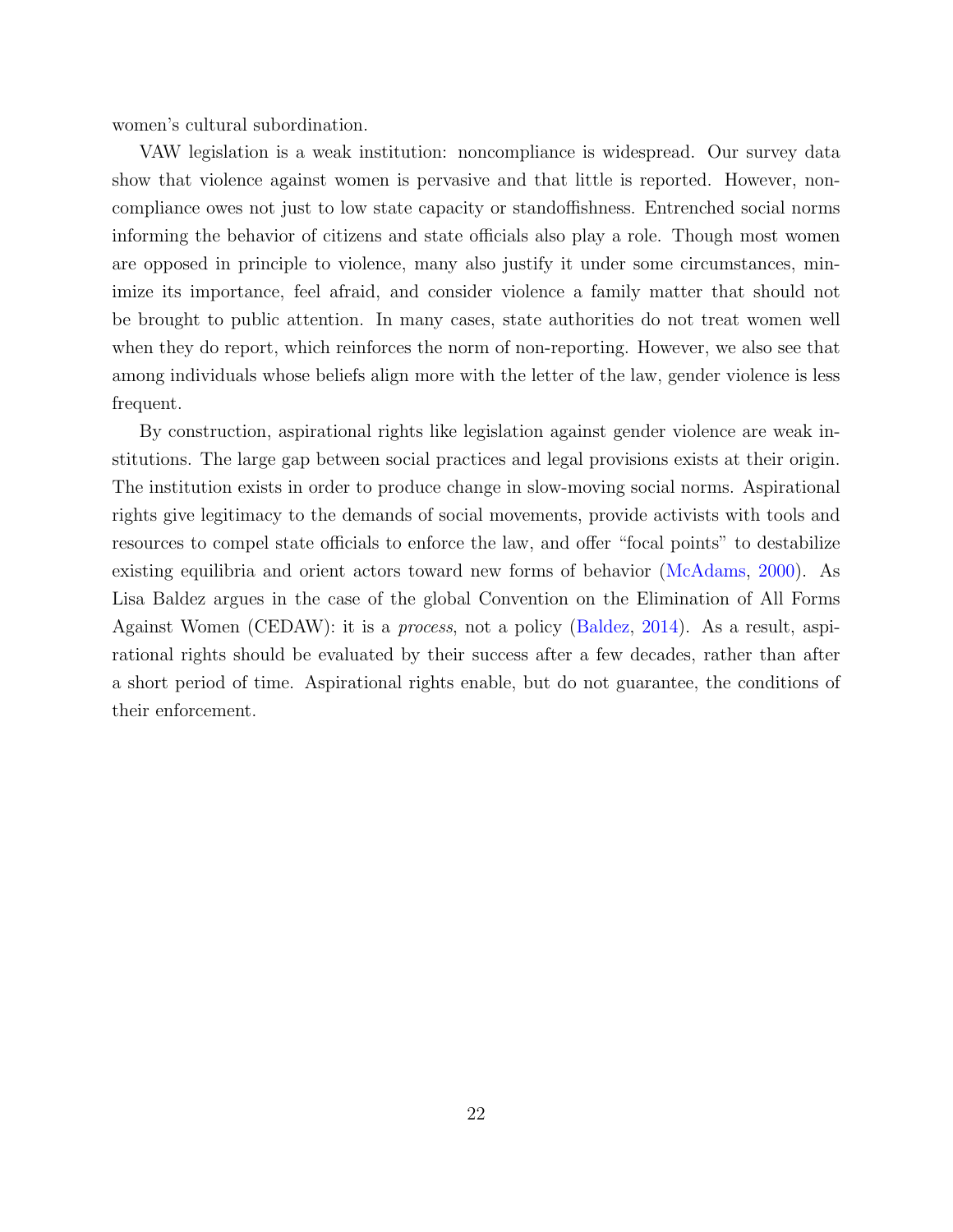women's cultural subordination.

VAW legislation is a weak institution: noncompliance is widespread. Our survey data show that violence against women is pervasive and that little is reported. However, noncompliance owes not just to low state capacity or standoffishness. Entrenched social norms informing the behavior of citizens and state officials also play a role. Though most women are opposed in principle to violence, many also justify it under some circumstances, minimize its importance, feel afraid, and consider violence a family matter that should not be brought to public attention. In many cases, state authorities do not treat women well when they do report, which reinforces the norm of non-reporting. However, we also see that among individuals whose beliefs align more with the letter of the law, gender violence is less frequent.

By construction, aspirational rights like legislation against gender violence are weak institutions. The large gap between social practices and legal provisions exists at their origin. The institution exists in order to produce change in slow-moving social norms. Aspirational rights give legitimacy to the demands of social movements, provide activists with tools and resources to compel state officials to enforce the law, and offer "focal points" to destabilize existing equilibria and orient actors toward new forms of behavior [\(McAdams,](#page-24-4) [2000\)](#page-24-4). As Lisa Baldez argues in the case of the global Convention on the Elimination of All Forms Against Women (CEDAW): it is a process, not a policy [\(Baldez,](#page-22-11) [2014\)](#page-22-11). As a result, aspirational rights should be evaluated by their success after a few decades, rather than after a short period of time. Aspirational rights enable, but do not guarantee, the conditions of their enforcement.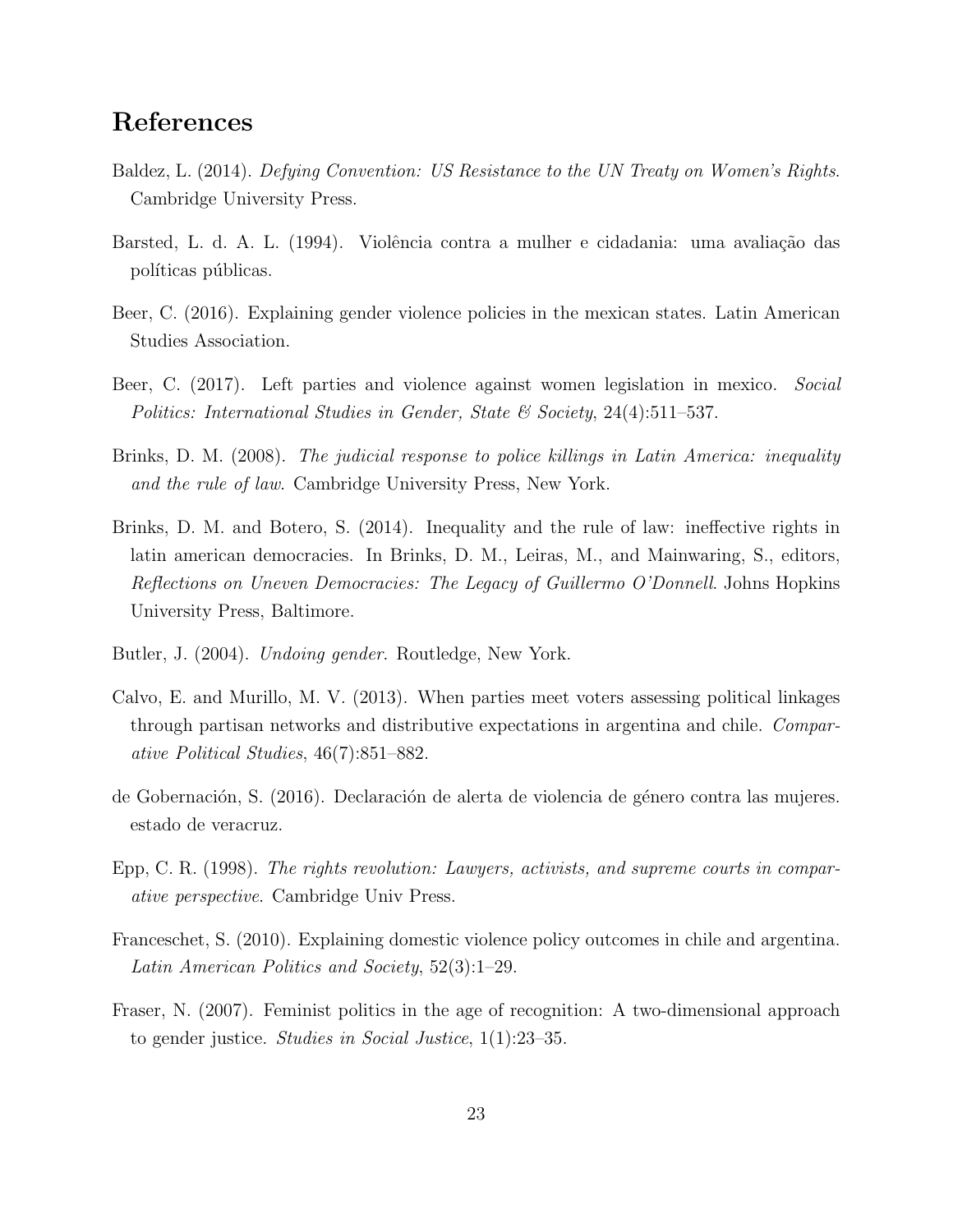# References

- <span id="page-22-11"></span>Baldez, L. (2014). *Defying Convention: US Resistance to the UN Treaty on Women's Rights.* Cambridge University Press.
- <span id="page-22-6"></span>Barsted, L. d. A. L. (1994). Violência contra a mulher e cidadania: uma avaliação das políticas públicas.
- <span id="page-22-7"></span>Beer, C. (2016). Explaining gender violence policies in the mexican states. Latin American Studies Association.
- <span id="page-22-8"></span>Beer, C. (2017). Left parties and violence against women legislation in mexico. Social Politics: International Studies in Gender, State & Society, 24(4):511–537.
- <span id="page-22-3"></span>Brinks, D. M. (2008). The judicial response to police killings in Latin America: inequality and the rule of law. Cambridge University Press, New York.
- <span id="page-22-5"></span>Brinks, D. M. and Botero, S. (2014). Inequality and the rule of law: ineffective rights in latin american democracies. In Brinks, D. M., Leiras, M., and Mainwaring, S., editors, Reflections on Uneven Democracies: The Legacy of Guillermo O'Donnell. Johns Hopkins University Press, Baltimore.
- <span id="page-22-4"></span>Butler, J. (2004). Undoing gender. Routledge, New York.
- <span id="page-22-2"></span>Calvo, E. and Murillo, M. V. (2013). When parties meet voters assessing political linkages through partisan networks and distributive expectations in argentina and chile. Comparative Political Studies, 46(7):851–882.
- <span id="page-22-9"></span>de Gobernación, S. (2016). Declaración de alerta de violencia de género contra las mujeres. estado de veracruz.
- <span id="page-22-0"></span>Epp, C. R. (1998). The rights revolution: Lawyers, activists, and supreme courts in comparative perspective. Cambridge Univ Press.
- <span id="page-22-1"></span>Franceschet, S. (2010). Explaining domestic violence policy outcomes in chile and argentina. Latin American Politics and Society, 52(3):1–29.
- <span id="page-22-10"></span>Fraser, N. (2007). Feminist politics in the age of recognition: A two-dimensional approach to gender justice. Studies in Social Justice, 1(1):23–35.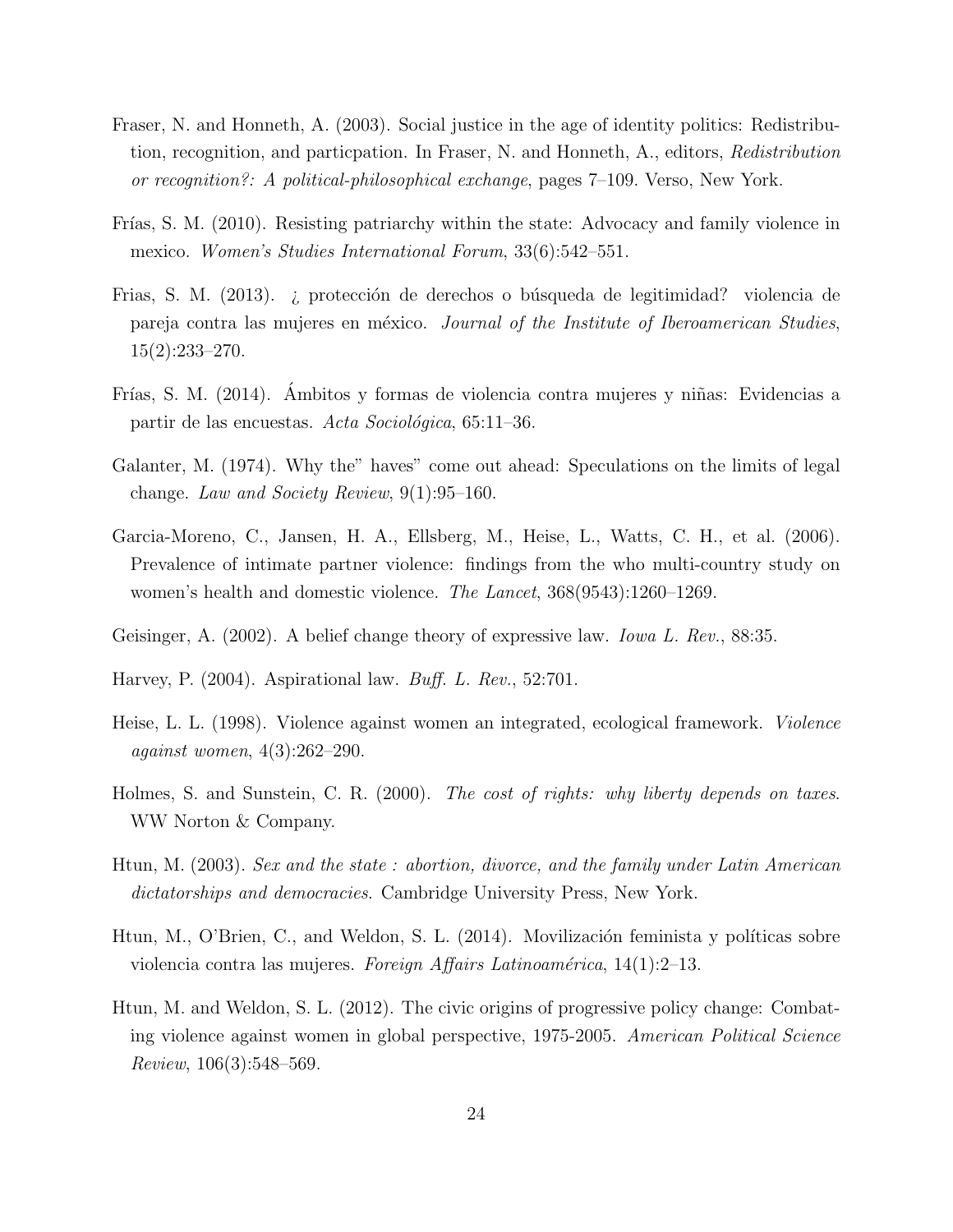- <span id="page-23-1"></span>Fraser, N. and Honneth, A. (2003). Social justice in the age of identity politics: Redistribution, recognition, and particpation. In Fraser, N. and Honneth, A., editors, Redistribution or recognition?: A political-philosophical exchange, pages 7–109. Verso, New York.
- <span id="page-23-8"></span>Frías, S. M. (2010). Resisting patriarchy within the state: Advocacy and family violence in mexico. Women's Studies International Forum, 33(6):542–551.
- <span id="page-23-7"></span>Frias, S. M. (2013). ¿ protección de derechos o búsqueda de legitimidad? violencia de pareja contra las mujeres en méxico. Journal of the Institute of Iberoamerican Studies, 15(2):233–270.
- <span id="page-23-10"></span>Frías, S. M. (2014). Ambitos y formas de violencia contra mujeres y niñas: Evidencias a partir de las encuestas. Acta Sociológica, 65:11–36.
- <span id="page-23-11"></span>Galanter, M. (1974). Why the" haves" come out ahead: Speculations on the limits of legal change. Law and Society Review, 9(1):95–160.
- <span id="page-23-3"></span>Garcia-Moreno, C., Jansen, H. A., Ellsberg, M., Heise, L., Watts, C. H., et al. (2006). Prevalence of intimate partner violence: findings from the who multi-country study on women's health and domestic violence. The Lancet, 368(9543):1260–1269.
- <span id="page-23-4"></span>Geisinger, A. (2002). A belief change theory of expressive law. Iowa L. Rev., 88:35.
- <span id="page-23-5"></span>Harvey, P. (2004). Aspirational law. Buff. L. Rev., 52:701.
- <span id="page-23-2"></span>Heise, L. L. (1998). Violence against women an integrated, ecological framework. Violence against women, 4(3):262–290.
- <span id="page-23-6"></span>Holmes, S. and Sunstein, C. R. (2000). The cost of rights: why liberty depends on taxes. WW Norton & Company.
- <span id="page-23-9"></span>Htun, M. (2003). Sex and the state : abortion, divorce, and the family under Latin American dictatorships and democracies. Cambridge University Press, New York.
- <span id="page-23-12"></span>Htun, M., O'Brien, C., and Weldon, S. L. (2014). Movilización feminista y políticas sobre violencia contra las mujeres. Foreign Affairs Latinoamérica, 14(1):2–13.
- <span id="page-23-0"></span>Htun, M. and Weldon, S. L. (2012). The civic origins of progressive policy change: Combating violence against women in global perspective, 1975-2005. American Political Science Review, 106(3):548–569.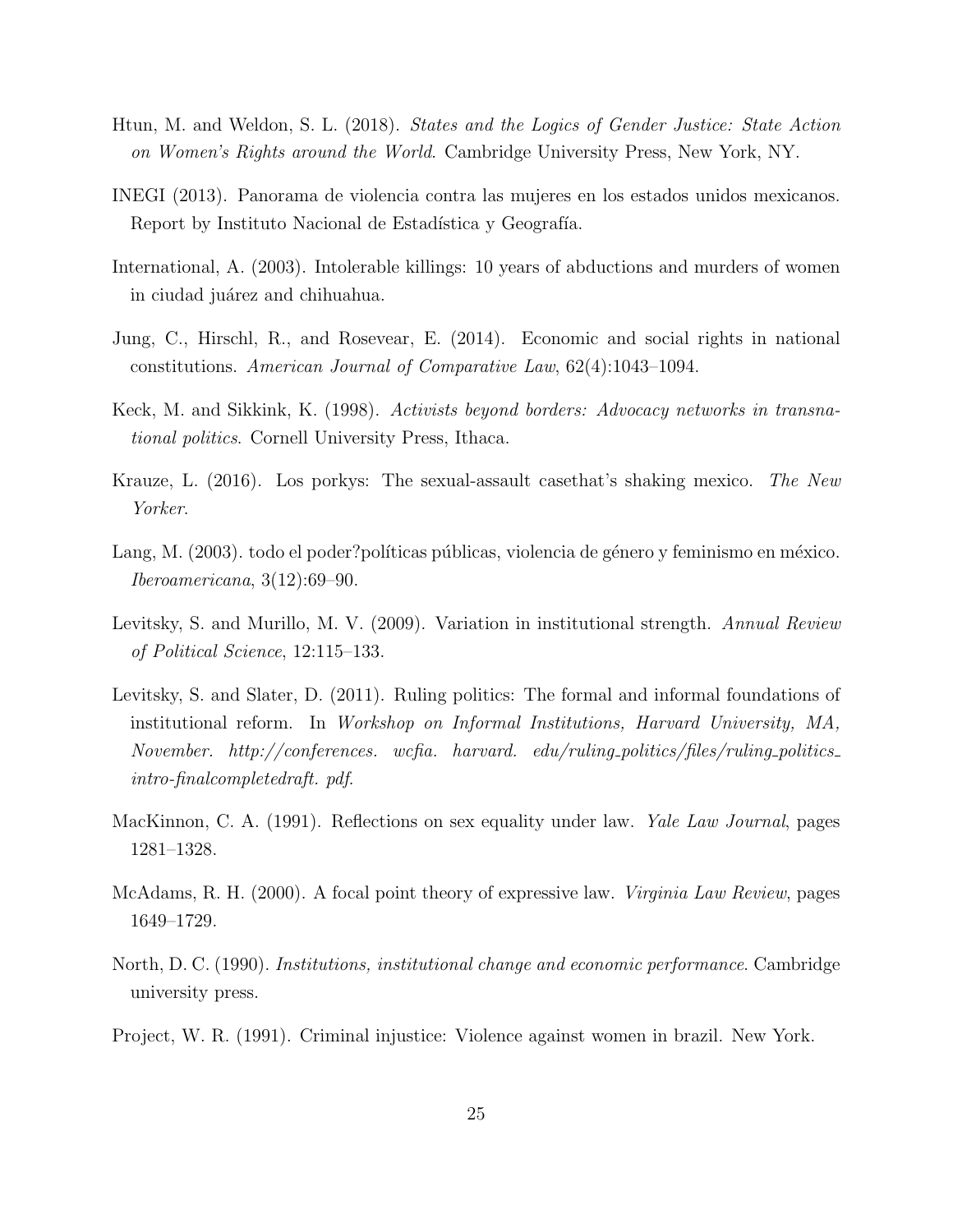- <span id="page-24-0"></span>Htun, M. and Weldon, S. L. (2018). States and the Logics of Gender Justice: State Action on Women's Rights around the World. Cambridge University Press, New York, NY.
- <span id="page-24-12"></span>INEGI (2013). Panorama de violencia contra las mujeres en los estados unidos mexicanos. Report by Instituto Nacional de Estadística y Geografía.
- <span id="page-24-10"></span>International, A. (2003). Intolerable killings: 10 years of abductions and murders of women in ciudad juárez and chihuahua.
- <span id="page-24-5"></span>Jung, C., Hirschl, R., and Rosevear, E. (2014). Economic and social rights in national constitutions. American Journal of Comparative Law, 62(4):1043–1094.
- <span id="page-24-6"></span>Keck, M. and Sikkink, K. (1998). Activists beyond borders: Advocacy networks in transnational politics. Cornell University Press, Ithaca.
- <span id="page-24-11"></span>Krauze, L. (2016). Los porkys: The sexual-assault casethat's shaking mexico. The New Yorker.
- <span id="page-24-9"></span>Lang, M. (2003). todo el poder?políticas públicas, violencia de género y feminismo en méxico. Iberoamericana, 3(12):69–90.
- <span id="page-24-1"></span>Levitsky, S. and Murillo, M. V. (2009). Variation in institutional strength. Annual Review of Political Science, 12:115–133.
- <span id="page-24-7"></span>Levitsky, S. and Slater, D. (2011). Ruling politics: The formal and informal foundations of institutional reform. In Workshop on Informal Institutions, Harvard University, MA, November. http://conferences. wcfia. harvard. edu/ruling politics/files/ruling politics intro-finalcompletedraft. pdf.
- <span id="page-24-3"></span>MacKinnon, C. A. (1991). Reflections on sex equality under law. Yale Law Journal, pages 1281–1328.
- <span id="page-24-4"></span>McAdams, R. H. (2000). A focal point theory of expressive law. *Virginia Law Review*, pages 1649–1729.
- <span id="page-24-2"></span>North, D. C. (1990). Institutions, institutional change and economic performance. Cambridge university press.
- <span id="page-24-8"></span>Project, W. R. (1991). Criminal injustice: Violence against women in brazil. New York.